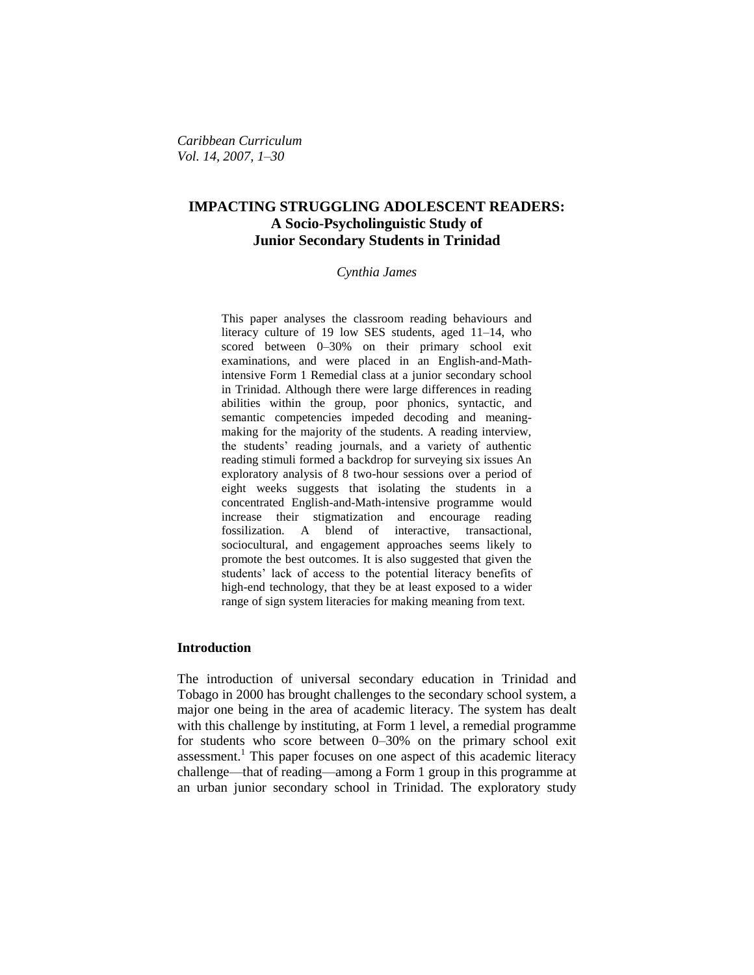*Caribbean Curriculum Vol. 14, 2007, 1–30*

# **IMPACTING STRUGGLING ADOLESCENT READERS: A Socio-Psycholinguistic Study of Junior Secondary Students in Trinidad**

#### *Cynthia James*

This paper analyses the classroom reading behaviours and literacy culture of 19 low SES students, aged 11–14, who scored between 0–30% on their primary school exit examinations, and were placed in an English-and-Mathintensive Form 1 Remedial class at a junior secondary school in Trinidad. Although there were large differences in reading abilities within the group, poor phonics, syntactic, and semantic competencies impeded decoding and meaningmaking for the majority of the students. A reading interview, the students' reading journals, and a variety of authentic reading stimuli formed a backdrop for surveying six issues An exploratory analysis of 8 two-hour sessions over a period of eight weeks suggests that isolating the students in a concentrated English-and-Math-intensive programme would increase their stigmatization and encourage reading fossilization. A blend of interactive, transactional, sociocultural, and engagement approaches seems likely to promote the best outcomes. It is also suggested that given the students' lack of access to the potential literacy benefits of high-end technology, that they be at least exposed to a wider range of sign system literacies for making meaning from text.

### **Introduction**

The introduction of universal secondary education in Trinidad and Tobago in 2000 has brought challenges to the secondary school system, a major one being in the area of academic literacy. The system has dealt with this challenge by instituting, at Form 1 level, a remedial programme for students who score between 0–30% on the primary school exit assessment.<sup>1</sup> This paper focuses on one aspect of this academic literacy challenge—that of reading—among a Form 1 group in this programme at an urban junior secondary school in Trinidad. The exploratory study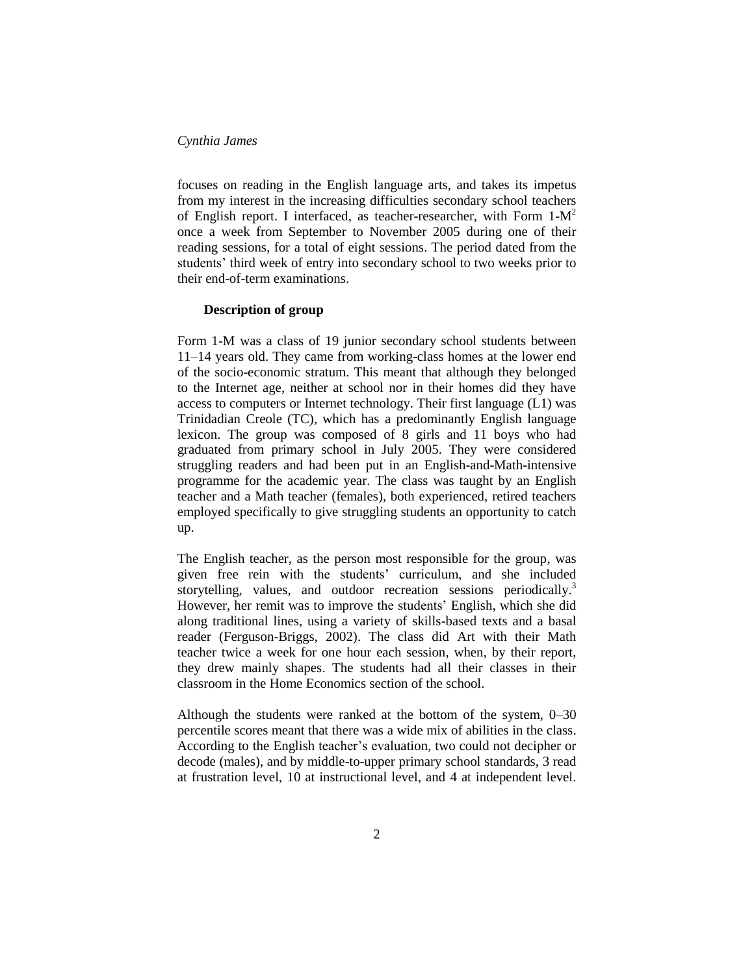focuses on reading in the English language arts, and takes its impetus from my interest in the increasing difficulties secondary school teachers of English report. I interfaced, as teacher-researcher, with Form  $1-M^2$ once a week from September to November 2005 during one of their reading sessions, for a total of eight sessions. The period dated from the students' third week of entry into secondary school to two weeks prior to their end-of-term examinations.

### **Description of group**

Form 1-M was a class of 19 junior secondary school students between 11–14 years old. They came from working-class homes at the lower end of the socio-economic stratum. This meant that although they belonged to the Internet age, neither at school nor in their homes did they have access to computers or Internet technology. Their first language (L1) was Trinidadian Creole (TC), which has a predominantly English language lexicon. The group was composed of 8 girls and 11 boys who had graduated from primary school in July 2005. They were considered struggling readers and had been put in an English-and-Math-intensive programme for the academic year. The class was taught by an English teacher and a Math teacher (females), both experienced, retired teachers employed specifically to give struggling students an opportunity to catch up.

The English teacher, as the person most responsible for the group, was given free rein with the students' curriculum, and she included storytelling, values, and outdoor recreation sessions periodically.<sup>3</sup> However, her remit was to improve the students' English, which she did along traditional lines, using a variety of skills-based texts and a basal reader (Ferguson-Briggs, 2002). The class did Art with their Math teacher twice a week for one hour each session, when, by their report, they drew mainly shapes. The students had all their classes in their classroom in the Home Economics section of the school.

Although the students were ranked at the bottom of the system, 0–30 percentile scores meant that there was a wide mix of abilities in the class. According to the English teacher's evaluation, two could not decipher or decode (males), and by middle-to-upper primary school standards, 3 read at frustration level, 10 at instructional level, and 4 at independent level.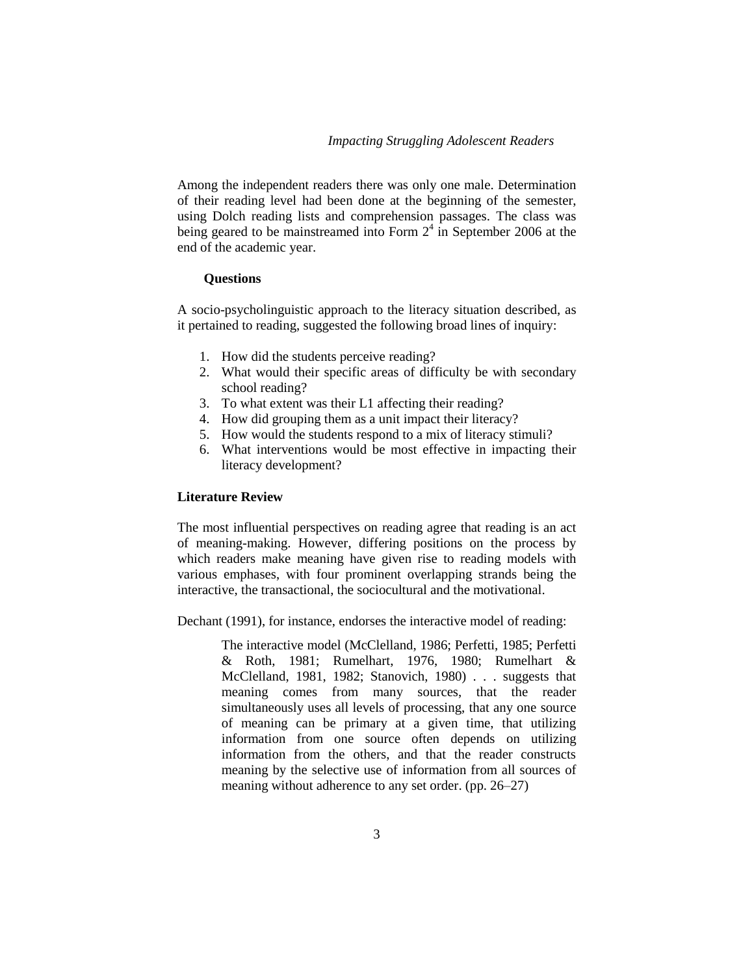Among the independent readers there was only one male. Determination of their reading level had been done at the beginning of the semester, using Dolch reading lists and comprehension passages. The class was being geared to be mainstreamed into Form  $2<sup>4</sup>$  in September 2006 at the end of the academic year.

### **Questions**

A socio-psycholinguistic approach to the literacy situation described, as it pertained to reading, suggested the following broad lines of inquiry:

- 1. How did the students perceive reading?
- 2. What would their specific areas of difficulty be with secondary school reading?
- 3. To what extent was their L1 affecting their reading?
- 4. How did grouping them as a unit impact their literacy?
- 5. How would the students respond to a mix of literacy stimuli?
- 6. What interventions would be most effective in impacting their literacy development?

### **Literature Review**

The most influential perspectives on reading agree that reading is an act of meaning-making. However, differing positions on the process by which readers make meaning have given rise to reading models with various emphases, with four prominent overlapping strands being the interactive, the transactional, the sociocultural and the motivational.

Dechant (1991), for instance, endorses the interactive model of reading:

The interactive model (McClelland, 1986; Perfetti, 1985; Perfetti & Roth, 1981; Rumelhart, 1976, 1980; Rumelhart & McClelland, 1981, 1982; Stanovich, 1980) . . . suggests that meaning comes from many sources, that the reader simultaneously uses all levels of processing, that any one source of meaning can be primary at a given time, that utilizing information from one source often depends on utilizing information from the others, and that the reader constructs meaning by the selective use of information from all sources of meaning without adherence to any set order. (pp. 26–27)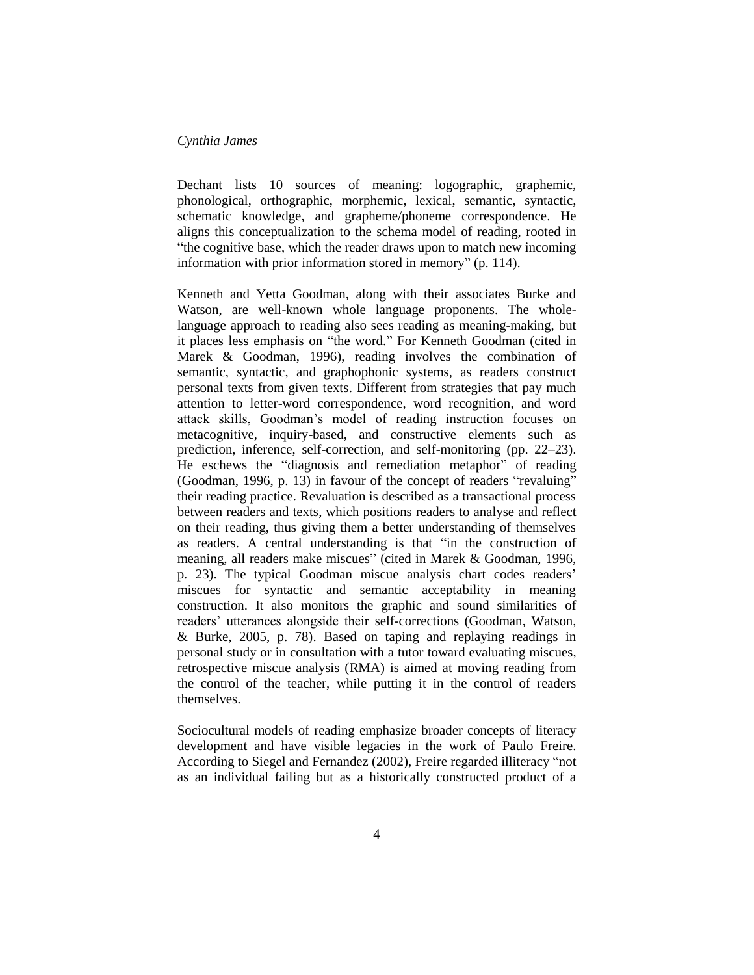Dechant lists 10 sources of meaning: logographic, graphemic, phonological, orthographic, morphemic, lexical, semantic, syntactic, schematic knowledge, and grapheme/phoneme correspondence. He aligns this conceptualization to the schema model of reading, rooted in "the cognitive base, which the reader draws upon to match new incoming information with prior information stored in memory" (p. 114).

Kenneth and Yetta Goodman, along with their associates Burke and Watson, are well-known whole language proponents. The wholelanguage approach to reading also sees reading as meaning-making, but it places less emphasis on "the word." For Kenneth Goodman (cited in Marek & Goodman, 1996), reading involves the combination of semantic, syntactic, and graphophonic systems, as readers construct personal texts from given texts. Different from strategies that pay much attention to letter-word correspondence, word recognition, and word attack skills, Goodman's model of reading instruction focuses on metacognitive, inquiry-based, and constructive elements such as prediction, inference, self-correction, and self-monitoring (pp. 22–23). He eschews the "diagnosis and remediation metaphor" of reading (Goodman, 1996, p. 13) in favour of the concept of readers "revaluing" their reading practice. Revaluation is described as a transactional process between readers and texts, which positions readers to analyse and reflect on their reading, thus giving them a better understanding of themselves as readers. A central understanding is that "in the construction of meaning, all readers make miscues" (cited in Marek & Goodman, 1996, p. 23). The typical Goodman miscue analysis chart codes readers' miscues for syntactic and semantic acceptability in meaning construction. It also monitors the graphic and sound similarities of readers' utterances alongside their self-corrections (Goodman, Watson, & Burke, 2005, p. 78). Based on taping and replaying readings in personal study or in consultation with a tutor toward evaluating miscues, retrospective miscue analysis (RMA) is aimed at moving reading from the control of the teacher, while putting it in the control of readers themselves.

Sociocultural models of reading emphasize broader concepts of literacy development and have visible legacies in the work of Paulo Freire. According to Siegel and Fernandez (2002), Freire regarded illiteracy "not as an individual failing but as a historically constructed product of a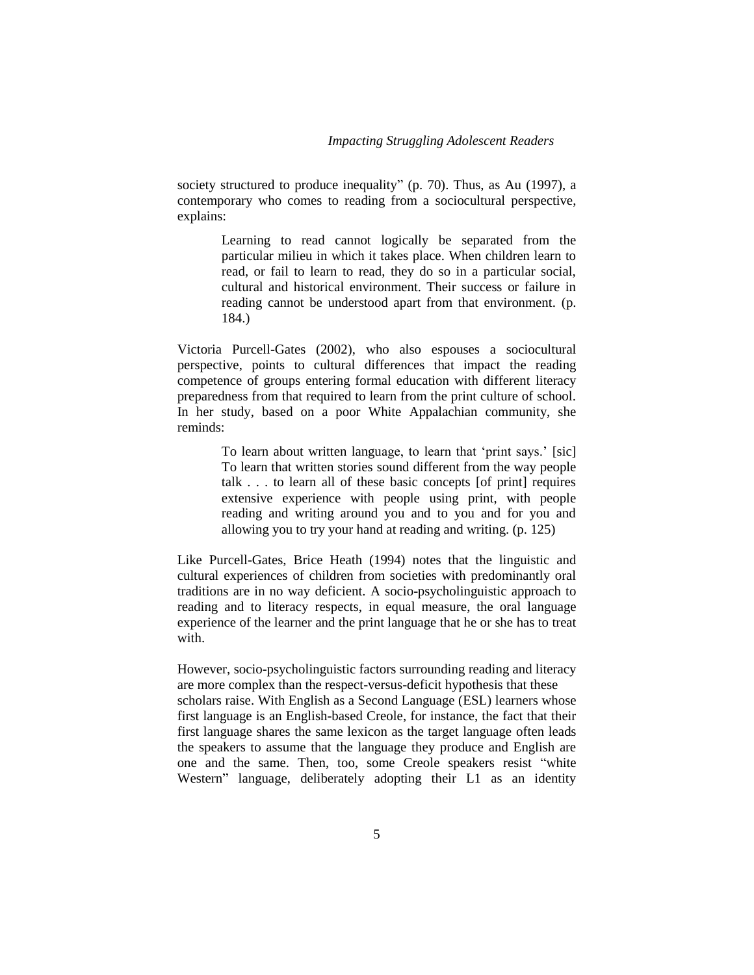society structured to produce inequality" (p. 70). Thus, as Au (1997), a contemporary who comes to reading from a sociocultural perspective, explains:

> Learning to read cannot logically be separated from the particular milieu in which it takes place. When children learn to read, or fail to learn to read, they do so in a particular social, cultural and historical environment. Their success or failure in reading cannot be understood apart from that environment. (p. 184.)

Victoria Purcell-Gates (2002), who also espouses a sociocultural perspective, points to cultural differences that impact the reading competence of groups entering formal education with different literacy preparedness from that required to learn from the print culture of school. In her study, based on a poor White Appalachian community, she reminds:

> To learn about written language, to learn that 'print says.' [sic] To learn that written stories sound different from the way people talk . . . to learn all of these basic concepts [of print] requires extensive experience with people using print, with people reading and writing around you and to you and for you and allowing you to try your hand at reading and writing. (p. 125)

Like Purcell-Gates, Brice Heath (1994) notes that the linguistic and cultural experiences of children from societies with predominantly oral traditions are in no way deficient. A socio-psycholinguistic approach to reading and to literacy respects, in equal measure, the oral language experience of the learner and the print language that he or she has to treat with.

However, socio-psycholinguistic factors surrounding reading and literacy are more complex than the respect-versus-deficit hypothesis that these

scholars raise. With English as a Second Language (ESL) learners whose first language is an English-based Creole, for instance, the fact that their first language shares the same lexicon as the target language often leads the speakers to assume that the language they produce and English are one and the same. Then, too, some Creole speakers resist "white Western" language, deliberately adopting their L1 as an identity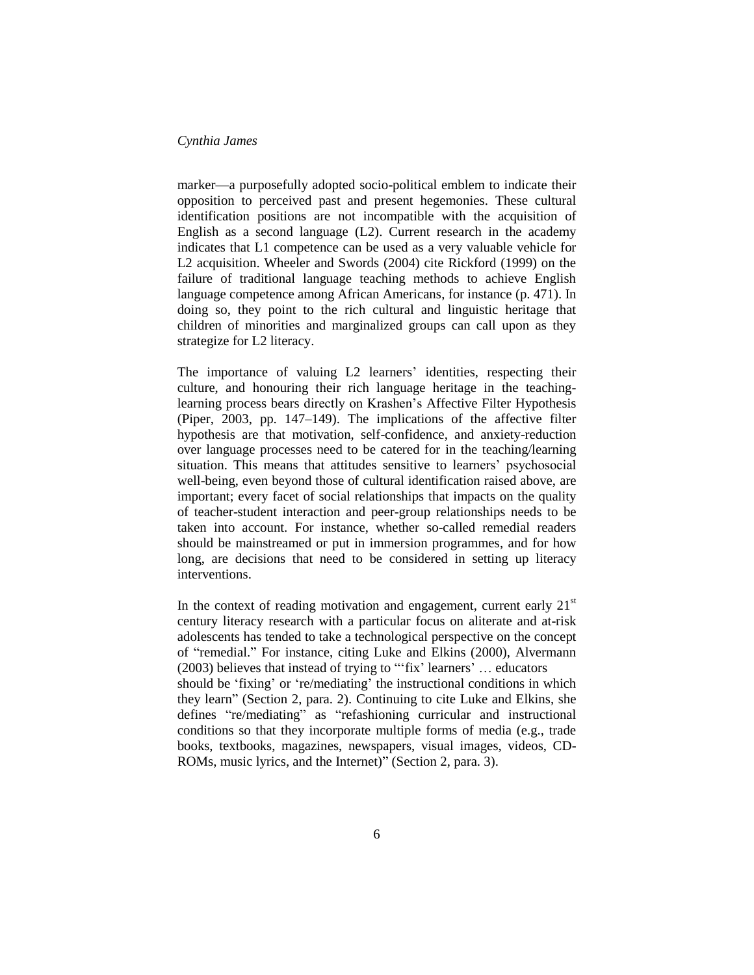marker—a purposefully adopted socio-political emblem to indicate their opposition to perceived past and present hegemonies. These cultural identification positions are not incompatible with the acquisition of English as a second language (L2). Current research in the academy indicates that L1 competence can be used as a very valuable vehicle for L2 acquisition. Wheeler and Swords (2004) cite Rickford (1999) on the failure of traditional language teaching methods to achieve English language competence among African Americans, for instance (p. 471). In doing so, they point to the rich cultural and linguistic heritage that children of minorities and marginalized groups can call upon as they strategize for L2 literacy.

The importance of valuing L2 learners' identities, respecting their culture, and honouring their rich language heritage in the teachinglearning process bears directly on Krashen's Affective Filter Hypothesis (Piper, 2003, pp. 147–149). The implications of the affective filter hypothesis are that motivation, self-confidence, and anxiety-reduction over language processes need to be catered for in the teaching/learning situation. This means that attitudes sensitive to learners' psychosocial well-being, even beyond those of cultural identification raised above, are important; every facet of social relationships that impacts on the quality of teacher-student interaction and peer-group relationships needs to be taken into account. For instance, whether so-called remedial readers should be mainstreamed or put in immersion programmes, and for how long, are decisions that need to be considered in setting up literacy interventions.

In the context of reading motivation and engagement, current early  $21<sup>st</sup>$ century literacy research with a particular focus on aliterate and at-risk adolescents has tended to take a technological perspective on the concept of "remedial." For instance, citing Luke and Elkins (2000), Alvermann (2003) believes that instead of trying to "'fix' learners' … educators should be 'fixing' or 're/mediating' the instructional conditions in which they learn" (Section 2, para. 2). Continuing to cite Luke and Elkins, she defines "re/mediating" as "refashioning curricular and instructional conditions so that they incorporate multiple forms of media (e.g., trade books, textbooks, magazines, newspapers, visual images, videos, CD-ROMs, music lyrics, and the Internet)" (Section 2, para. 3).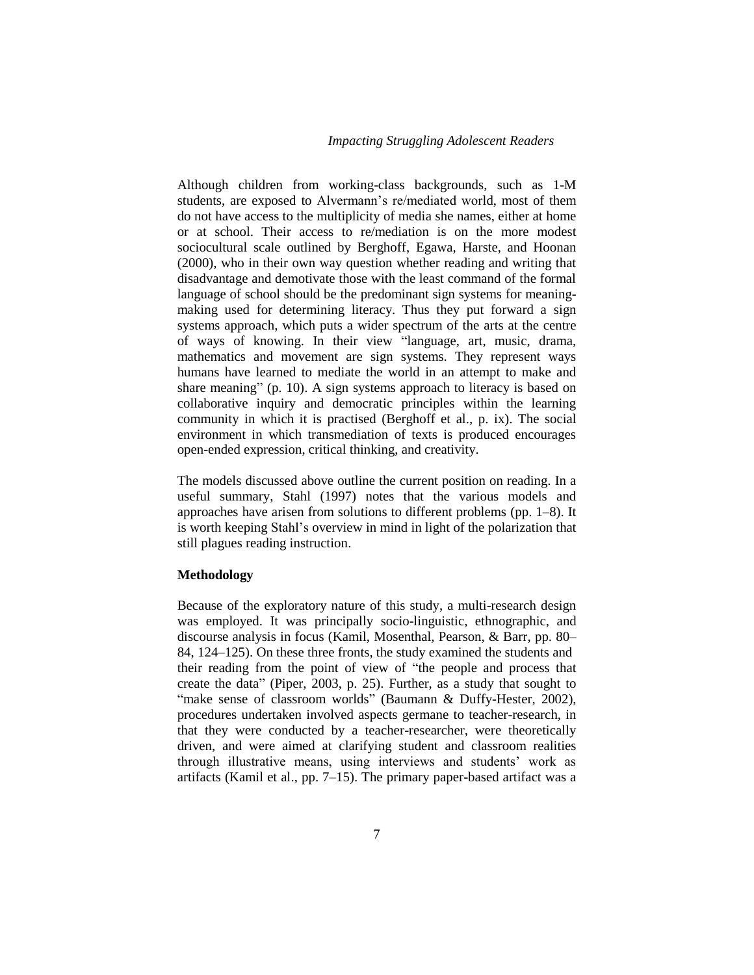Although children from working-class backgrounds, such as 1-M students, are exposed to Alvermann's re/mediated world, most of them do not have access to the multiplicity of media she names, either at home or at school. Their access to re/mediation is on the more modest sociocultural scale outlined by Berghoff, Egawa, Harste, and Hoonan (2000), who in their own way question whether reading and writing that disadvantage and demotivate those with the least command of the formal language of school should be the predominant sign systems for meaningmaking used for determining literacy. Thus they put forward a sign systems approach, which puts a wider spectrum of the arts at the centre of ways of knowing. In their view "language, art, music, drama, mathematics and movement are sign systems. They represent ways humans have learned to mediate the world in an attempt to make and share meaning" (p. 10). A sign systems approach to literacy is based on collaborative inquiry and democratic principles within the learning community in which it is practised (Berghoff et al., p. ix). The social environment in which transmediation of texts is produced encourages open-ended expression, critical thinking, and creativity.

The models discussed above outline the current position on reading. In a useful summary, Stahl (1997) notes that the various models and approaches have arisen from solutions to different problems (pp. 1–8). It is worth keeping Stahl's overview in mind in light of the polarization that still plagues reading instruction.

### **Methodology**

Because of the exploratory nature of this study, a multi-research design was employed. It was principally socio-linguistic, ethnographic, and discourse analysis in focus (Kamil, Mosenthal, Pearson, & Barr, pp. 80– 84, 124–125). On these three fronts, the study examined the students and their reading from the point of view of "the people and process that create the data" (Piper, 2003, p. 25). Further, as a study that sought to "make sense of classroom worlds" (Baumann & Duffy-Hester, 2002), procedures undertaken involved aspects germane to teacher-research, in that they were conducted by a teacher-researcher, were theoretically driven, and were aimed at clarifying student and classroom realities through illustrative means, using interviews and students' work as artifacts (Kamil et al., pp. 7–15). The primary paper-based artifact was a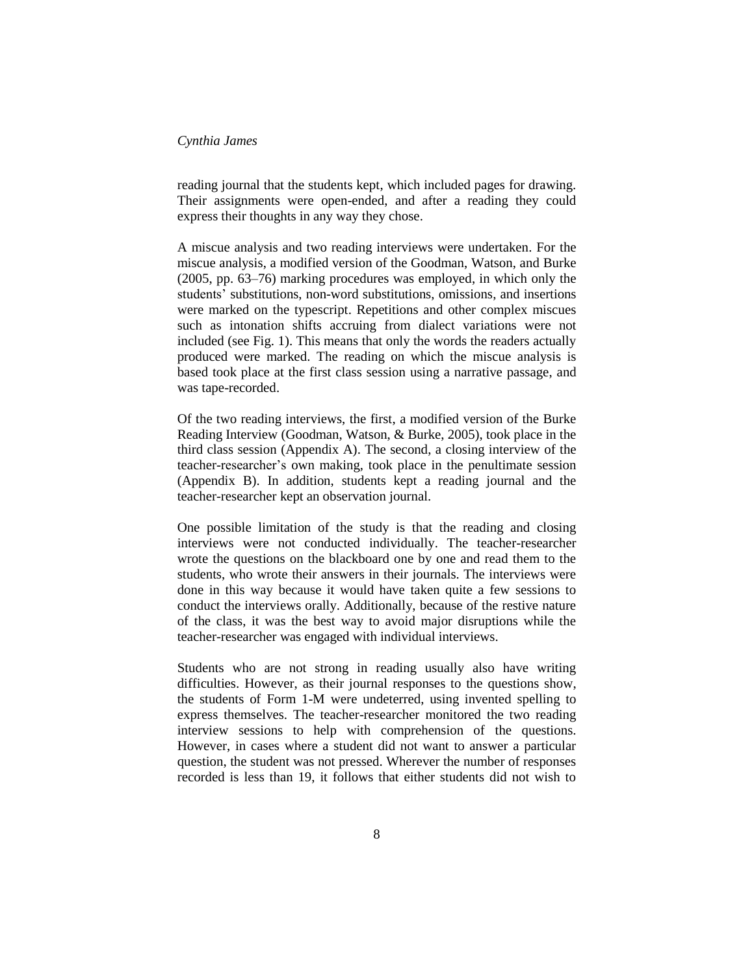reading journal that the students kept, which included pages for drawing. Their assignments were open-ended, and after a reading they could express their thoughts in any way they chose.

A miscue analysis and two reading interviews were undertaken. For the miscue analysis, a modified version of the Goodman, Watson, and Burke (2005, pp. 63–76) marking procedures was employed, in which only the students' substitutions, non-word substitutions, omissions, and insertions were marked on the typescript. Repetitions and other complex miscues such as intonation shifts accruing from dialect variations were not included (see Fig. 1). This means that only the words the readers actually produced were marked. The reading on which the miscue analysis is based took place at the first class session using a narrative passage, and was tape-recorded.

Of the two reading interviews, the first, a modified version of the Burke Reading Interview (Goodman, Watson, & Burke, 2005), took place in the third class session (Appendix A). The second, a closing interview of the teacher-researcher's own making, took place in the penultimate session (Appendix B). In addition, students kept a reading journal and the teacher-researcher kept an observation journal.

One possible limitation of the study is that the reading and closing interviews were not conducted individually. The teacher-researcher wrote the questions on the blackboard one by one and read them to the students, who wrote their answers in their journals. The interviews were done in this way because it would have taken quite a few sessions to conduct the interviews orally. Additionally, because of the restive nature of the class, it was the best way to avoid major disruptions while the teacher-researcher was engaged with individual interviews.

Students who are not strong in reading usually also have writing difficulties. However, as their journal responses to the questions show, the students of Form 1-M were undeterred, using invented spelling to express themselves. The teacher-researcher monitored the two reading interview sessions to help with comprehension of the questions. However, in cases where a student did not want to answer a particular question, the student was not pressed. Wherever the number of responses recorded is less than 19, it follows that either students did not wish to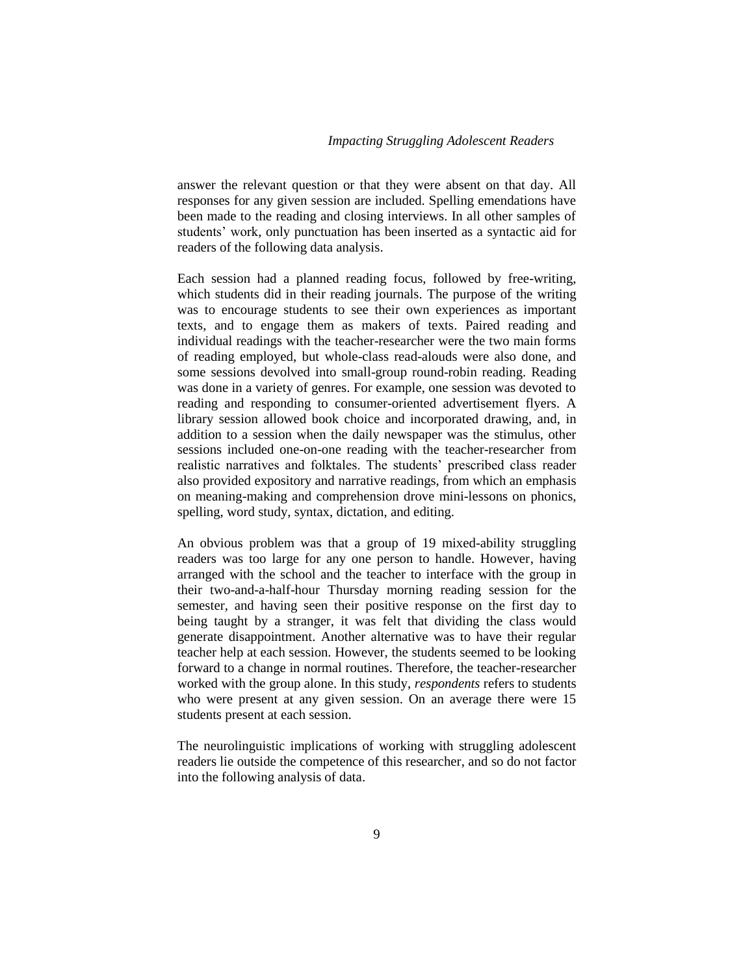answer the relevant question or that they were absent on that day. All responses for any given session are included. Spelling emendations have been made to the reading and closing interviews. In all other samples of students' work, only punctuation has been inserted as a syntactic aid for readers of the following data analysis.

Each session had a planned reading focus, followed by free-writing, which students did in their reading journals. The purpose of the writing was to encourage students to see their own experiences as important texts, and to engage them as makers of texts. Paired reading and individual readings with the teacher-researcher were the two main forms of reading employed, but whole-class read-alouds were also done, and some sessions devolved into small-group round-robin reading. Reading was done in a variety of genres. For example, one session was devoted to reading and responding to consumer-oriented advertisement flyers. A library session allowed book choice and incorporated drawing, and, in addition to a session when the daily newspaper was the stimulus, other sessions included one-on-one reading with the teacher-researcher from realistic narratives and folktales. The students' prescribed class reader also provided expository and narrative readings, from which an emphasis on meaning-making and comprehension drove mini-lessons on phonics, spelling, word study, syntax, dictation, and editing.

An obvious problem was that a group of 19 mixed-ability struggling readers was too large for any one person to handle. However, having arranged with the school and the teacher to interface with the group in their two-and-a-half-hour Thursday morning reading session for the semester, and having seen their positive response on the first day to being taught by a stranger, it was felt that dividing the class would generate disappointment. Another alternative was to have their regular teacher help at each session. However, the students seemed to be looking forward to a change in normal routines. Therefore, the teacher-researcher worked with the group alone. In this study, *respondents* refers to students who were present at any given session. On an average there were 15 students present at each session.

The neurolinguistic implications of working with struggling adolescent readers lie outside the competence of this researcher, and so do not factor into the following analysis of data.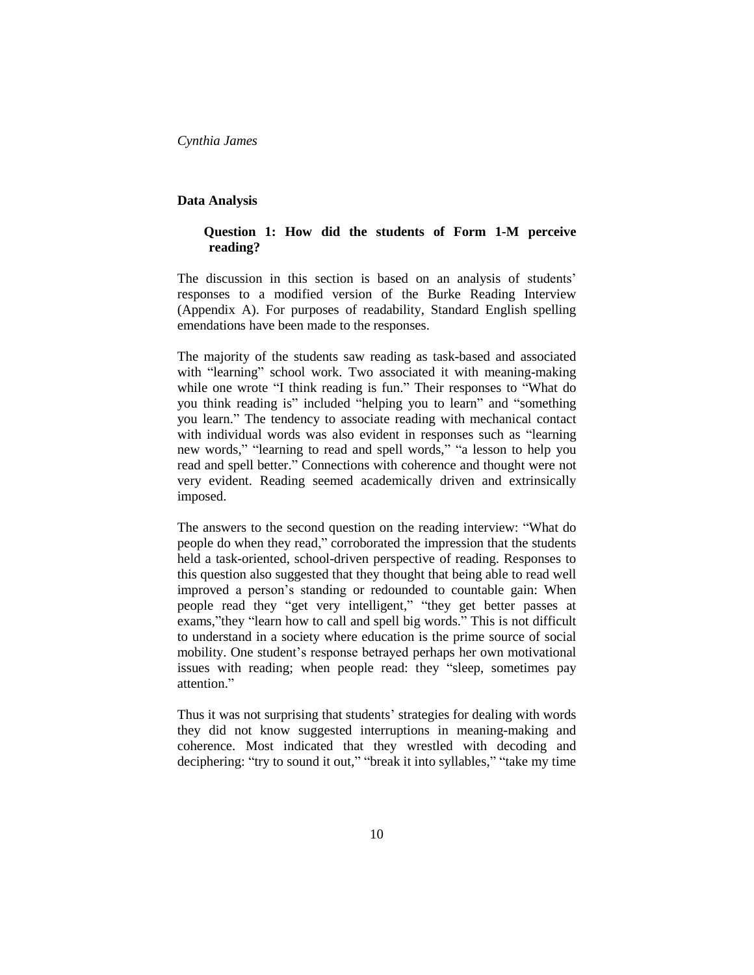#### **Data Analysis**

### **Question 1: How did the students of Form 1-M perceive reading?**

The discussion in this section is based on an analysis of students' responses to a modified version of the Burke Reading Interview (Appendix A). For purposes of readability, Standard English spelling emendations have been made to the responses.

The majority of the students saw reading as task-based and associated with "learning" school work. Two associated it with meaning-making while one wrote "I think reading is fun." Their responses to "What do you think reading is" included "helping you to learn" and "something you learn." The tendency to associate reading with mechanical contact with individual words was also evident in responses such as "learning new words," "learning to read and spell words," "a lesson to help you read and spell better." Connections with coherence and thought were not very evident. Reading seemed academically driven and extrinsically imposed.

The answers to the second question on the reading interview: "What do people do when they read," corroborated the impression that the students held a task-oriented, school-driven perspective of reading. Responses to this question also suggested that they thought that being able to read well improved a person's standing or redounded to countable gain: When people read they "get very intelligent," "they get better passes at exams,"they "learn how to call and spell big words." This is not difficult to understand in a society where education is the prime source of social mobility. One student's response betrayed perhaps her own motivational issues with reading; when people read: they "sleep, sometimes pay attention."

Thus it was not surprising that students' strategies for dealing with words they did not know suggested interruptions in meaning-making and coherence. Most indicated that they wrestled with decoding and deciphering: "try to sound it out," "break it into syllables," "take my time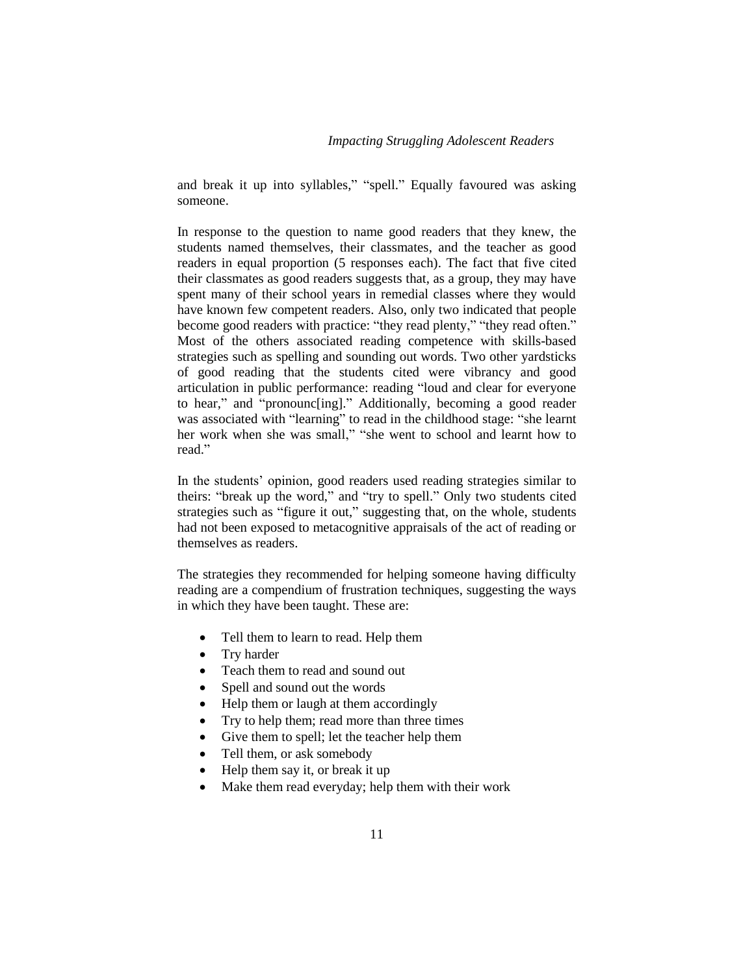and break it up into syllables," "spell." Equally favoured was asking someone.

In response to the question to name good readers that they knew, the students named themselves, their classmates, and the teacher as good readers in equal proportion (5 responses each). The fact that five cited their classmates as good readers suggests that, as a group, they may have spent many of their school years in remedial classes where they would have known few competent readers. Also, only two indicated that people become good readers with practice: "they read plenty," "they read often." Most of the others associated reading competence with skills-based strategies such as spelling and sounding out words. Two other yardsticks of good reading that the students cited were vibrancy and good articulation in public performance: reading "loud and clear for everyone to hear," and "pronounc[ing]." Additionally, becoming a good reader was associated with "learning" to read in the childhood stage: "she learnt her work when she was small," "she went to school and learnt how to read."

In the students' opinion, good readers used reading strategies similar to theirs: "break up the word," and "try to spell." Only two students cited strategies such as "figure it out," suggesting that, on the whole, students had not been exposed to metacognitive appraisals of the act of reading or themselves as readers.

The strategies they recommended for helping someone having difficulty reading are a compendium of frustration techniques, suggesting the ways in which they have been taught. These are:

- Tell them to learn to read. Help them
- Try harder
- Teach them to read and sound out
- Spell and sound out the words
- Help them or laugh at them accordingly
- Try to help them; read more than three times
- Give them to spell; let the teacher help them
- Tell them, or ask somebody
- Help them say it, or break it up
- Make them read everyday; help them with their work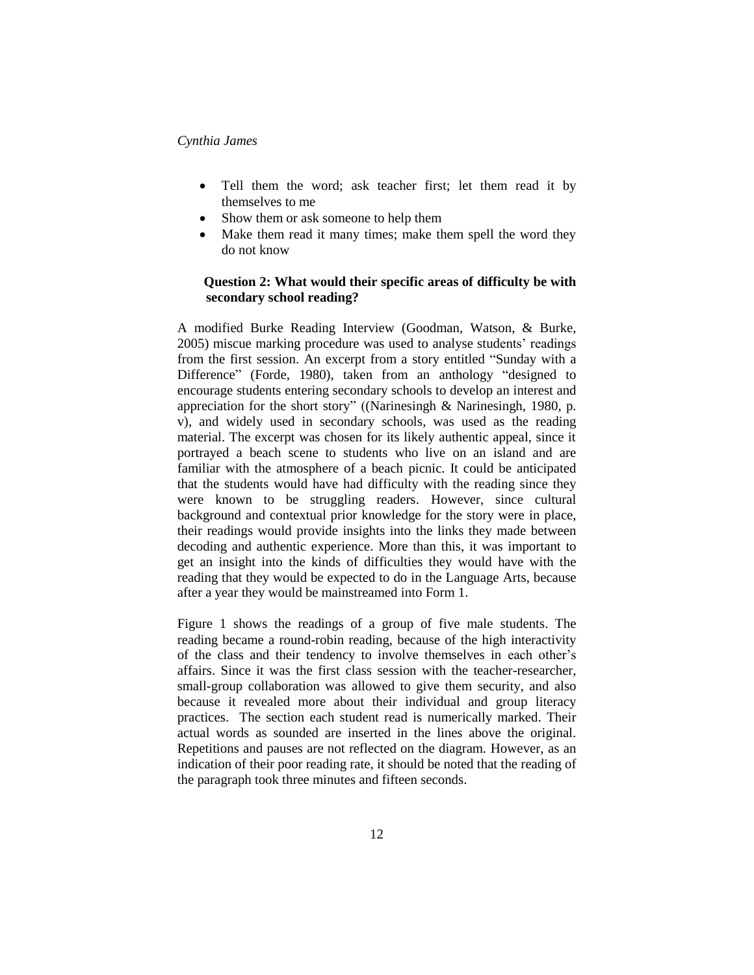- Tell them the word; ask teacher first; let them read it by themselves to me
- Show them or ask someone to help them
- Make them read it many times; make them spell the word they do not know

### **Question 2: What would their specific areas of difficulty be with secondary school reading?**

A modified Burke Reading Interview (Goodman, Watson, & Burke, 2005) miscue marking procedure was used to analyse students' readings from the first session. An excerpt from a story entitled "Sunday with a Difference" (Forde, 1980), taken from an anthology "designed to encourage students entering secondary schools to develop an interest and appreciation for the short story" ((Narinesingh & Narinesingh, 1980, p. v), and widely used in secondary schools, was used as the reading material. The excerpt was chosen for its likely authentic appeal, since it portrayed a beach scene to students who live on an island and are familiar with the atmosphere of a beach picnic. It could be anticipated that the students would have had difficulty with the reading since they were known to be struggling readers. However, since cultural background and contextual prior knowledge for the story were in place, their readings would provide insights into the links they made between decoding and authentic experience. More than this, it was important to get an insight into the kinds of difficulties they would have with the reading that they would be expected to do in the Language Arts, because after a year they would be mainstreamed into Form 1.

Figure 1 shows the readings of a group of five male students. The reading became a round-robin reading, because of the high interactivity of the class and their tendency to involve themselves in each other's affairs. Since it was the first class session with the teacher-researcher, small-group collaboration was allowed to give them security, and also because it revealed more about their individual and group literacy practices. The section each student read is numerically marked. Their actual words as sounded are inserted in the lines above the original. Repetitions and pauses are not reflected on the diagram. However, as an indication of their poor reading rate, it should be noted that the reading of the paragraph took three minutes and fifteen seconds.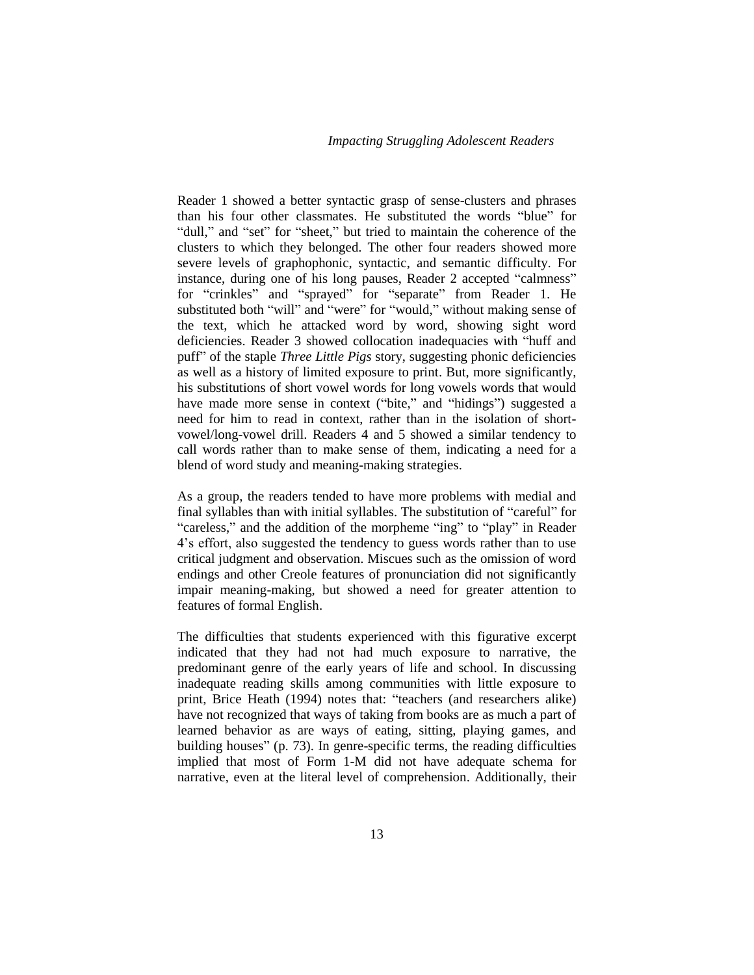Reader 1 showed a better syntactic grasp of sense-clusters and phrases than his four other classmates. He substituted the words "blue" for "dull," and "set" for "sheet," but tried to maintain the coherence of the clusters to which they belonged. The other four readers showed more severe levels of graphophonic, syntactic, and semantic difficulty. For instance, during one of his long pauses, Reader 2 accepted "calmness" for "crinkles" and "sprayed" for "separate" from Reader 1. He substituted both "will" and "were" for "would," without making sense of the text, which he attacked word by word, showing sight word deficiencies. Reader 3 showed collocation inadequacies with "huff and puff" of the staple *Three Little Pigs* story, suggesting phonic deficiencies as well as a history of limited exposure to print. But, more significantly, his substitutions of short vowel words for long vowels words that would have made more sense in context ("bite," and "hidings") suggested a need for him to read in context, rather than in the isolation of shortvowel/long-vowel drill. Readers 4 and 5 showed a similar tendency to call words rather than to make sense of them, indicating a need for a blend of word study and meaning-making strategies.

As a group, the readers tended to have more problems with medial and final syllables than with initial syllables. The substitution of "careful" for "careless," and the addition of the morpheme "ing" to "play" in Reader 4's effort, also suggested the tendency to guess words rather than to use critical judgment and observation. Miscues such as the omission of word endings and other Creole features of pronunciation did not significantly impair meaning-making, but showed a need for greater attention to features of formal English.

The difficulties that students experienced with this figurative excerpt indicated that they had not had much exposure to narrative, the predominant genre of the early years of life and school. In discussing inadequate reading skills among communities with little exposure to print, Brice Heath (1994) notes that: "teachers (and researchers alike) have not recognized that ways of taking from books are as much a part of learned behavior as are ways of eating, sitting, playing games, and building houses" (p. 73). In genre-specific terms, the reading difficulties implied that most of Form 1-M did not have adequate schema for narrative, even at the literal level of comprehension. Additionally, their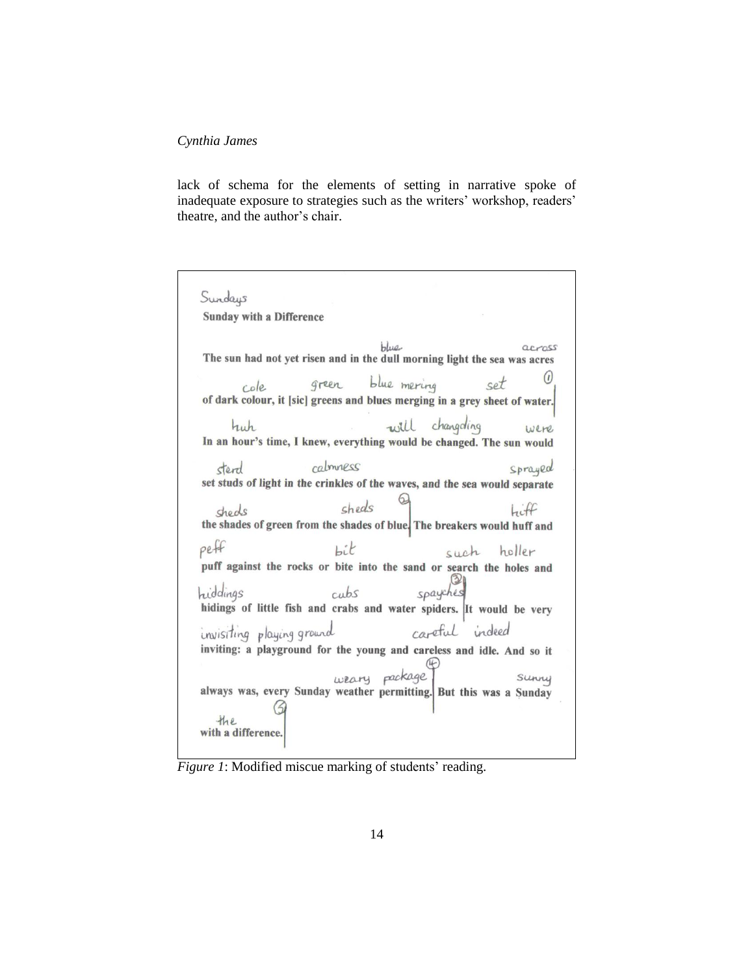lack of schema for the elements of setting in narrative spoke of inadequate exposure to strategies such as the writers' workshop, readers' theatre, and the author's chair.

| Sundays                                                                                                                                                                                                               |
|-----------------------------------------------------------------------------------------------------------------------------------------------------------------------------------------------------------------------|
| <b>Sunday with a Difference</b>                                                                                                                                                                                       |
| blue.<br>The sun had not yet risen and in the dull morning light the sea was acres<br>green blue mering<br>set<br>cole<br>of dark colour, it [sic] greens and blues merging in a grey sheet of water.                 |
| will changeling<br>huh<br>were<br>In an hour's time, I knew, everything would be changed. The sun would                                                                                                               |
| calmness<br>Sprayed<br>sterd<br>set studs of light in the crinkles of the waves, and the sea would separate<br>sheds<br>$h$ iff<br>cheols<br>the shades of green from the shades of blue. The breakers would huff and |
| peff<br>Lit<br>such holler<br>puff against the rocks or bite into the sand or search the holes and<br>spayches<br>hiddings<br>cubs<br>hidings of little fish and crabs and water spiders. It would be very            |
| careful indeed<br>invisiting playing ground<br>inviting: a playground for the young and careless and idle. And so it<br>weary package<br>always was, every Sunday weather permitting. But this was a Sunday           |
| the<br>with a difference.                                                                                                                                                                                             |

*Figure 1*: Modified miscue marking of students' reading.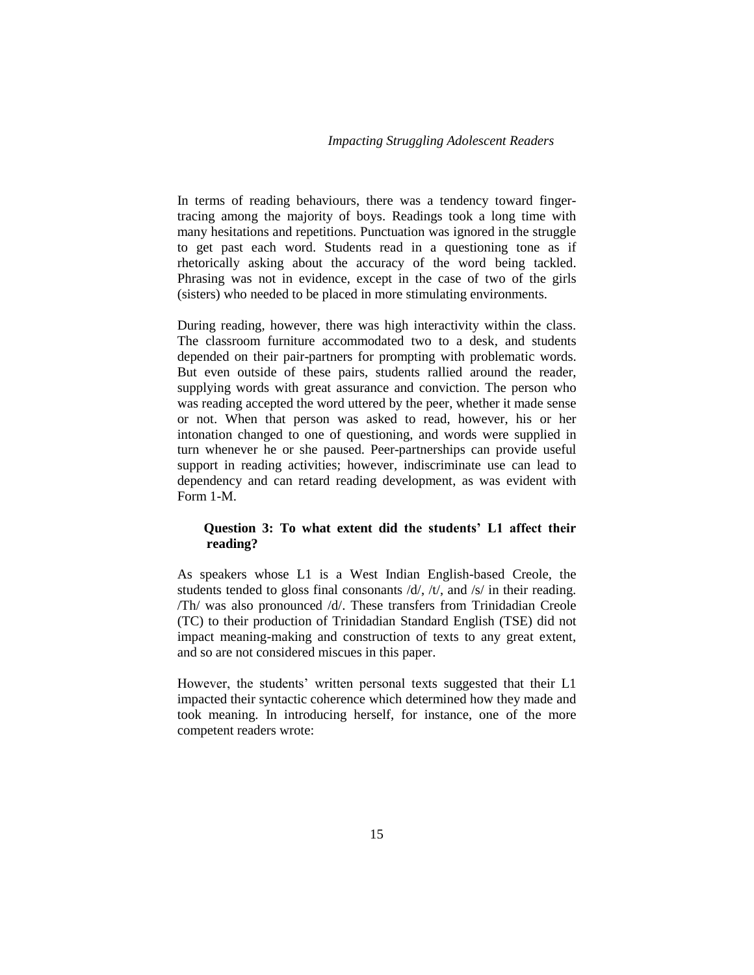In terms of reading behaviours, there was a tendency toward fingertracing among the majority of boys. Readings took a long time with many hesitations and repetitions. Punctuation was ignored in the struggle to get past each word. Students read in a questioning tone as if rhetorically asking about the accuracy of the word being tackled. Phrasing was not in evidence, except in the case of two of the girls (sisters) who needed to be placed in more stimulating environments.

During reading, however, there was high interactivity within the class. The classroom furniture accommodated two to a desk, and students depended on their pair-partners for prompting with problematic words. But even outside of these pairs, students rallied around the reader, supplying words with great assurance and conviction. The person who was reading accepted the word uttered by the peer, whether it made sense or not. When that person was asked to read, however, his or her intonation changed to one of questioning, and words were supplied in turn whenever he or she paused. Peer-partnerships can provide useful support in reading activities; however, indiscriminate use can lead to dependency and can retard reading development, as was evident with Form 1-M.

## **Question 3: To what extent did the students' L1 affect their reading?**

As speakers whose L1 is a West Indian English-based Creole, the students tended to gloss final consonants /d/, /t/, and /s/ in their reading. /Th/ was also pronounced /d/. These transfers from Trinidadian Creole (TC) to their production of Trinidadian Standard English (TSE) did not impact meaning-making and construction of texts to any great extent, and so are not considered miscues in this paper.

However, the students' written personal texts suggested that their L1 impacted their syntactic coherence which determined how they made and took meaning. In introducing herself, for instance, one of the more competent readers wrote: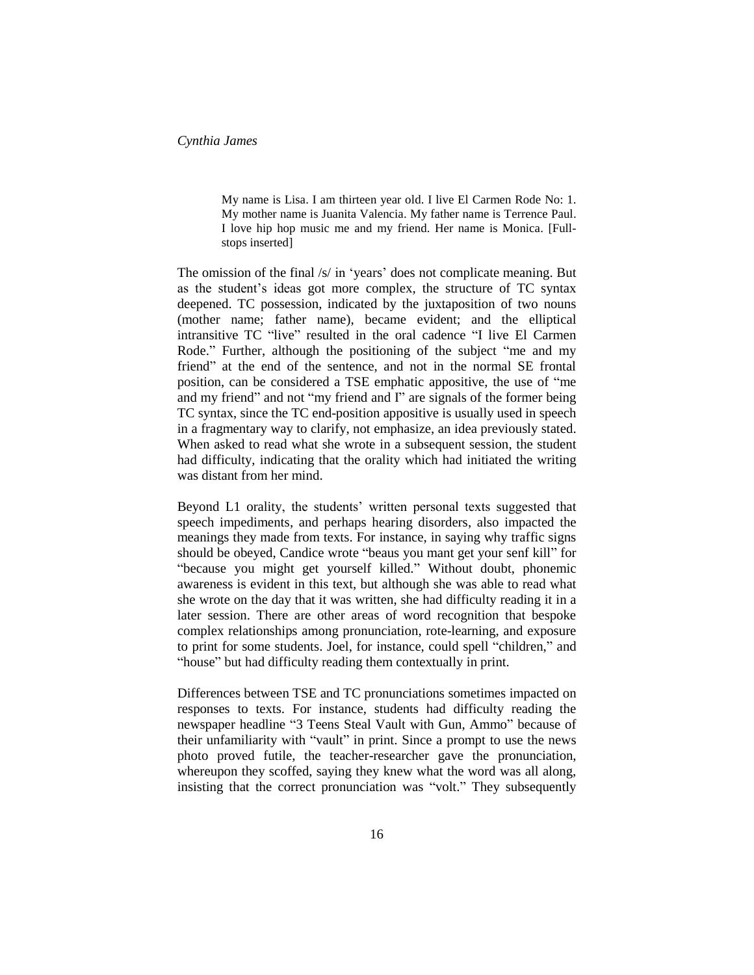My name is Lisa. I am thirteen year old. I live El Carmen Rode No: 1. My mother name is Juanita Valencia. My father name is Terrence Paul. I love hip hop music me and my friend. Her name is Monica. [Fullstops inserted]

The omission of the final /s/ in 'years' does not complicate meaning. But as the student's ideas got more complex, the structure of TC syntax deepened. TC possession, indicated by the juxtaposition of two nouns (mother name; father name), became evident; and the elliptical intransitive TC "live" resulted in the oral cadence "I live El Carmen Rode." Further, although the positioning of the subject "me and my friend" at the end of the sentence, and not in the normal SE frontal position, can be considered a TSE emphatic appositive, the use of "me and my friend" and not "my friend and I" are signals of the former being TC syntax, since the TC end-position appositive is usually used in speech in a fragmentary way to clarify, not emphasize, an idea previously stated. When asked to read what she wrote in a subsequent session, the student had difficulty, indicating that the orality which had initiated the writing was distant from her mind.

Beyond L1 orality, the students' written personal texts suggested that speech impediments, and perhaps hearing disorders, also impacted the meanings they made from texts. For instance, in saying why traffic signs should be obeyed, Candice wrote "beaus you mant get your senf kill" for "because you might get yourself killed." Without doubt, phonemic awareness is evident in this text, but although she was able to read what she wrote on the day that it was written, she had difficulty reading it in a later session. There are other areas of word recognition that bespoke complex relationships among pronunciation, rote-learning, and exposure to print for some students. Joel, for instance, could spell "children," and "house" but had difficulty reading them contextually in print.

Differences between TSE and TC pronunciations sometimes impacted on responses to texts. For instance, students had difficulty reading the newspaper headline "3 Teens Steal Vault with Gun, Ammo" because of their unfamiliarity with "vault" in print. Since a prompt to use the news photo proved futile, the teacher-researcher gave the pronunciation, whereupon they scoffed, saying they knew what the word was all along, insisting that the correct pronunciation was "volt." They subsequently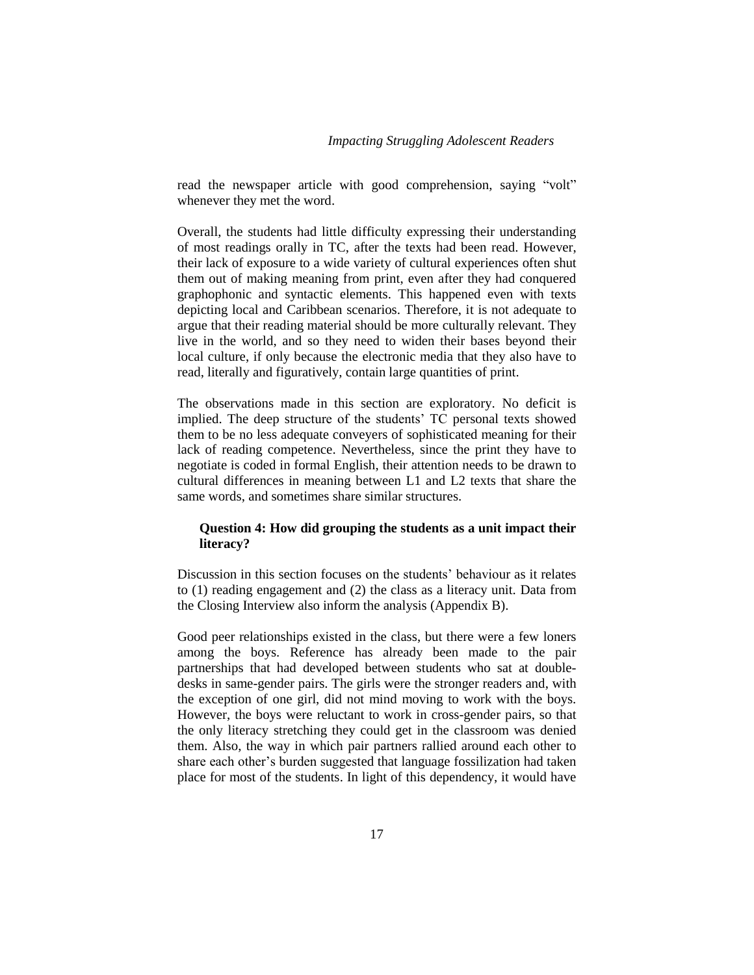read the newspaper article with good comprehension, saying "volt" whenever they met the word.

Overall, the students had little difficulty expressing their understanding of most readings orally in TC, after the texts had been read. However, their lack of exposure to a wide variety of cultural experiences often shut them out of making meaning from print, even after they had conquered graphophonic and syntactic elements. This happened even with texts depicting local and Caribbean scenarios. Therefore, it is not adequate to argue that their reading material should be more culturally relevant. They live in the world, and so they need to widen their bases beyond their local culture, if only because the electronic media that they also have to read, literally and figuratively, contain large quantities of print.

The observations made in this section are exploratory. No deficit is implied. The deep structure of the students' TC personal texts showed them to be no less adequate conveyers of sophisticated meaning for their lack of reading competence. Nevertheless, since the print they have to negotiate is coded in formal English, their attention needs to be drawn to cultural differences in meaning between L1 and L2 texts that share the same words, and sometimes share similar structures.

## **Question 4: How did grouping the students as a unit impact their literacy?**

Discussion in this section focuses on the students' behaviour as it relates to (1) reading engagement and (2) the class as a literacy unit. Data from the Closing Interview also inform the analysis (Appendix B).

Good peer relationships existed in the class, but there were a few loners among the boys. Reference has already been made to the pair partnerships that had developed between students who sat at doubledesks in same-gender pairs. The girls were the stronger readers and, with the exception of one girl, did not mind moving to work with the boys. However, the boys were reluctant to work in cross-gender pairs, so that the only literacy stretching they could get in the classroom was denied them. Also, the way in which pair partners rallied around each other to share each other's burden suggested that language fossilization had taken place for most of the students. In light of this dependency, it would have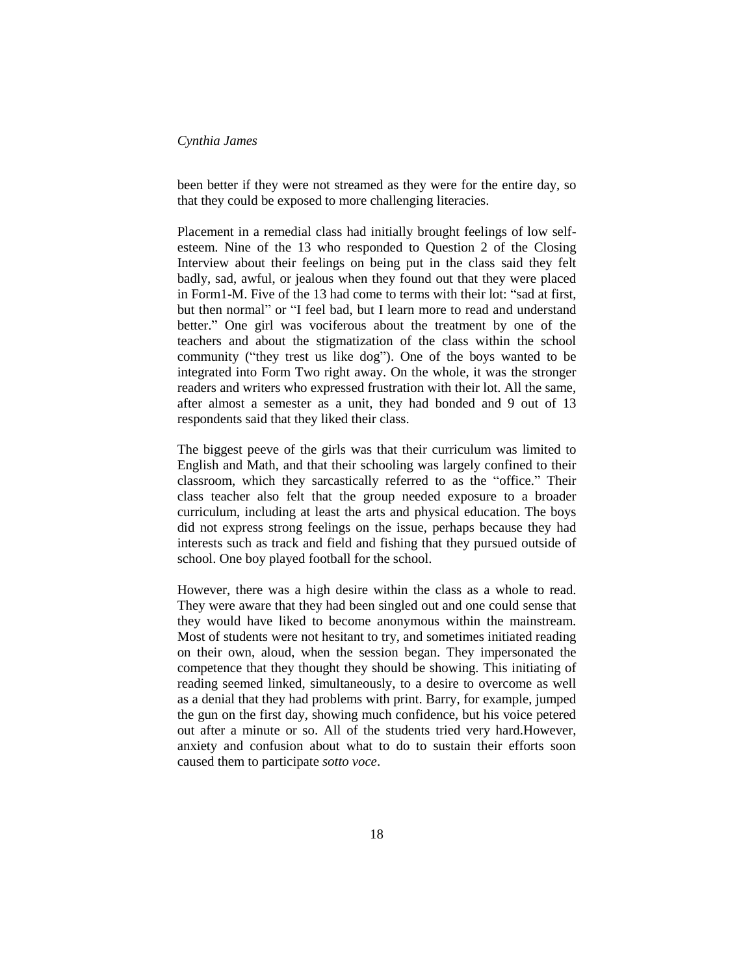been better if they were not streamed as they were for the entire day, so that they could be exposed to more challenging literacies.

Placement in a remedial class had initially brought feelings of low selfesteem. Nine of the 13 who responded to Question 2 of the Closing Interview about their feelings on being put in the class said they felt badly, sad, awful, or jealous when they found out that they were placed in Form1-M. Five of the 13 had come to terms with their lot: "sad at first, but then normal" or "I feel bad, but I learn more to read and understand better." One girl was vociferous about the treatment by one of the teachers and about the stigmatization of the class within the school community ("they trest us like dog"). One of the boys wanted to be integrated into Form Two right away. On the whole, it was the stronger readers and writers who expressed frustration with their lot. All the same, after almost a semester as a unit, they had bonded and 9 out of 13 respondents said that they liked their class.

The biggest peeve of the girls was that their curriculum was limited to English and Math, and that their schooling was largely confined to their classroom, which they sarcastically referred to as the "office." Their class teacher also felt that the group needed exposure to a broader curriculum, including at least the arts and physical education. The boys did not express strong feelings on the issue, perhaps because they had interests such as track and field and fishing that they pursued outside of school. One boy played football for the school.

However, there was a high desire within the class as a whole to read. They were aware that they had been singled out and one could sense that they would have liked to become anonymous within the mainstream. Most of students were not hesitant to try, and sometimes initiated reading on their own, aloud, when the session began. They impersonated the competence that they thought they should be showing. This initiating of reading seemed linked, simultaneously, to a desire to overcome as well as a denial that they had problems with print. Barry, for example, jumped the gun on the first day, showing much confidence, but his voice petered out after a minute or so. All of the students tried very hard.However, anxiety and confusion about what to do to sustain their efforts soon caused them to participate *sotto voce*.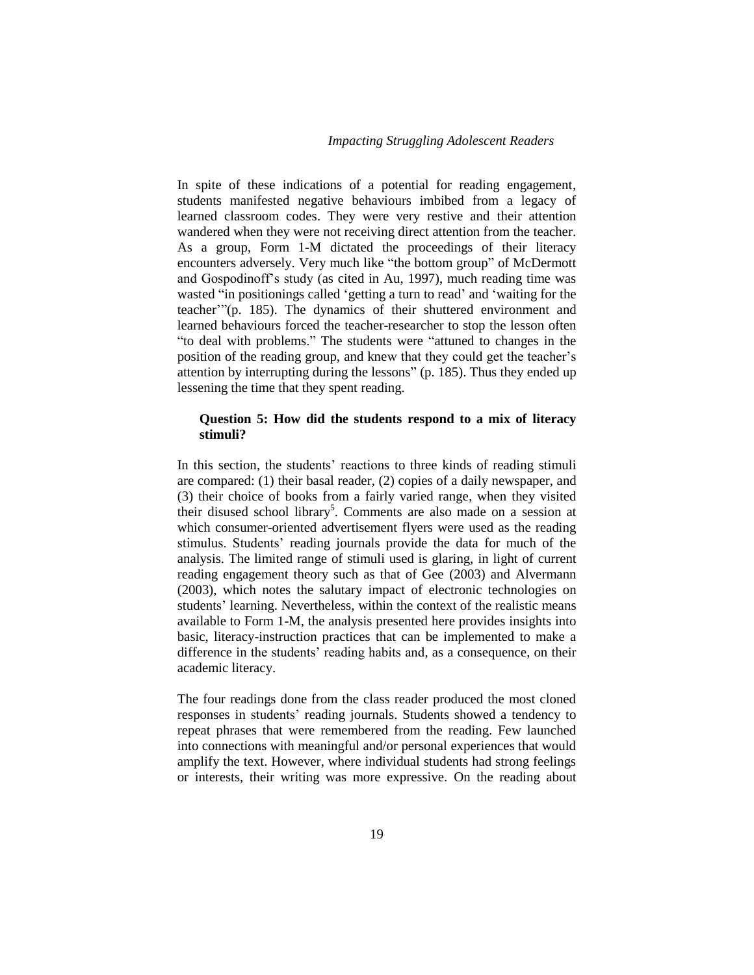In spite of these indications of a potential for reading engagement, students manifested negative behaviours imbibed from a legacy of learned classroom codes. They were very restive and their attention wandered when they were not receiving direct attention from the teacher. As a group, Form 1-M dictated the proceedings of their literacy encounters adversely. Very much like "the bottom group" of McDermott and Gospodinoff's study (as cited in Au, 1997), much reading time was wasted "in positionings called 'getting a turn to read' and 'waiting for the teacher'"(p. 185). The dynamics of their shuttered environment and learned behaviours forced the teacher-researcher to stop the lesson often "to deal with problems." The students were "attuned to changes in the position of the reading group, and knew that they could get the teacher's attention by interrupting during the lessons" (p. 185). Thus they ended up lessening the time that they spent reading.

### **Question 5: How did the students respond to a mix of literacy stimuli?**

In this section, the students' reactions to three kinds of reading stimuli are compared: (1) their basal reader, (2) copies of a daily newspaper, and (3) their choice of books from a fairly varied range, when they visited their disused school library<sup>5</sup>. Comments are also made on a session at which consumer-oriented advertisement flyers were used as the reading stimulus. Students' reading journals provide the data for much of the analysis. The limited range of stimuli used is glaring, in light of current reading engagement theory such as that of Gee (2003) and Alvermann (2003), which notes the salutary impact of electronic technologies on students' learning. Nevertheless, within the context of the realistic means available to Form 1-M, the analysis presented here provides insights into basic, literacy-instruction practices that can be implemented to make a difference in the students' reading habits and, as a consequence, on their academic literacy.

The four readings done from the class reader produced the most cloned responses in students' reading journals. Students showed a tendency to repeat phrases that were remembered from the reading. Few launched into connections with meaningful and/or personal experiences that would amplify the text. However, where individual students had strong feelings or interests, their writing was more expressive. On the reading about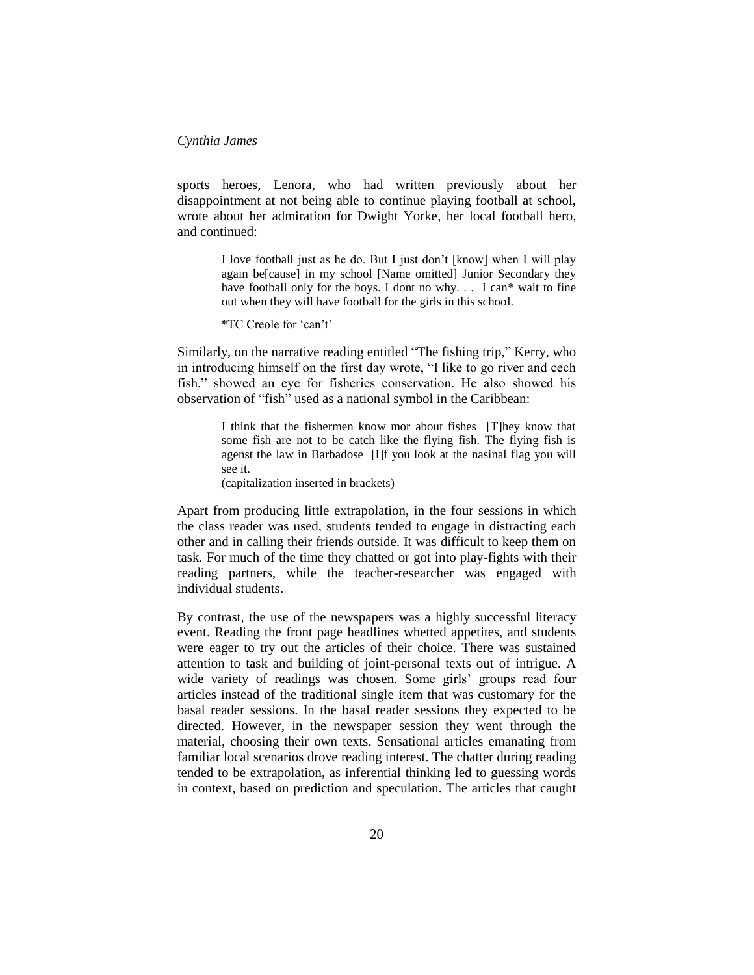sports heroes, Lenora, who had written previously about her disappointment at not being able to continue playing football at school, wrote about her admiration for Dwight Yorke, her local football hero, and continued:

> I love football just as he do. But I just don't [know] when I will play again be[cause] in my school [Name omitted] Junior Secondary they have football only for the boys. I dont no why.  $\ldots$  I can\* wait to fine out when they will have football for the girls in this school.

\*TC Creole for 'can't'

Similarly, on the narrative reading entitled "The fishing trip," Kerry, who in introducing himself on the first day wrote, "I like to go river and cech fish," showed an eye for fisheries conservation. He also showed his observation of "fish" used as a national symbol in the Caribbean:

> I think that the fishermen know mor about fishes [T]hey know that some fish are not to be catch like the flying fish. The flying fish is agenst the law in Barbadose [I]f you look at the nasinal flag you will see it.

(capitalization inserted in brackets)

Apart from producing little extrapolation, in the four sessions in which the class reader was used, students tended to engage in distracting each other and in calling their friends outside. It was difficult to keep them on task. For much of the time they chatted or got into play-fights with their reading partners, while the teacher-researcher was engaged with individual students.

By contrast, the use of the newspapers was a highly successful literacy event. Reading the front page headlines whetted appetites, and students were eager to try out the articles of their choice. There was sustained attention to task and building of joint-personal texts out of intrigue. A wide variety of readings was chosen. Some girls' groups read four articles instead of the traditional single item that was customary for the basal reader sessions. In the basal reader sessions they expected to be directed. However, in the newspaper session they went through the material, choosing their own texts. Sensational articles emanating from familiar local scenarios drove reading interest. The chatter during reading tended to be extrapolation, as inferential thinking led to guessing words in context, based on prediction and speculation. The articles that caught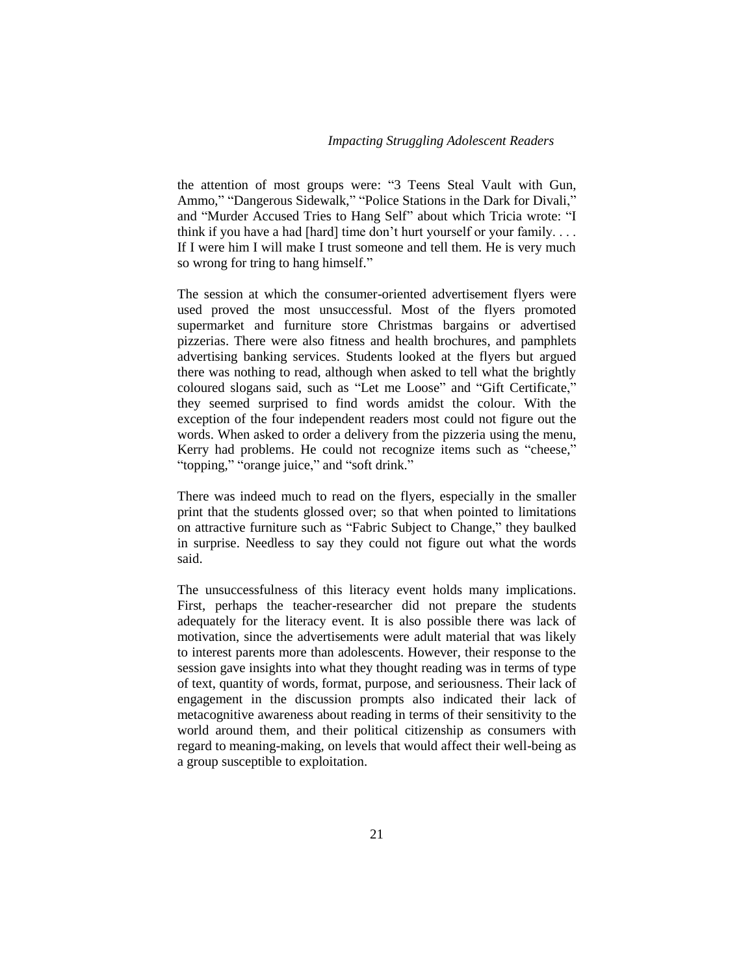the attention of most groups were: "3 Teens Steal Vault with Gun, Ammo," "Dangerous Sidewalk," "Police Stations in the Dark for Divali," and "Murder Accused Tries to Hang Self" about which Tricia wrote: "I think if you have a had [hard] time don't hurt yourself or your family. . . . If I were him I will make I trust someone and tell them. He is very much so wrong for tring to hang himself."

The session at which the consumer-oriented advertisement flyers were used proved the most unsuccessful. Most of the flyers promoted supermarket and furniture store Christmas bargains or advertised pizzerias. There were also fitness and health brochures, and pamphlets advertising banking services. Students looked at the flyers but argued there was nothing to read, although when asked to tell what the brightly coloured slogans said, such as "Let me Loose" and "Gift Certificate," they seemed surprised to find words amidst the colour. With the exception of the four independent readers most could not figure out the words. When asked to order a delivery from the pizzeria using the menu, Kerry had problems. He could not recognize items such as "cheese," "topping," "orange juice," and "soft drink."

There was indeed much to read on the flyers, especially in the smaller print that the students glossed over; so that when pointed to limitations on attractive furniture such as "Fabric Subject to Change," they baulked in surprise. Needless to say they could not figure out what the words said.

The unsuccessfulness of this literacy event holds many implications. First, perhaps the teacher-researcher did not prepare the students adequately for the literacy event. It is also possible there was lack of motivation, since the advertisements were adult material that was likely to interest parents more than adolescents. However, their response to the session gave insights into what they thought reading was in terms of type of text, quantity of words, format, purpose, and seriousness. Their lack of engagement in the discussion prompts also indicated their lack of metacognitive awareness about reading in terms of their sensitivity to the world around them, and their political citizenship as consumers with regard to meaning-making, on levels that would affect their well-being as a group susceptible to exploitation.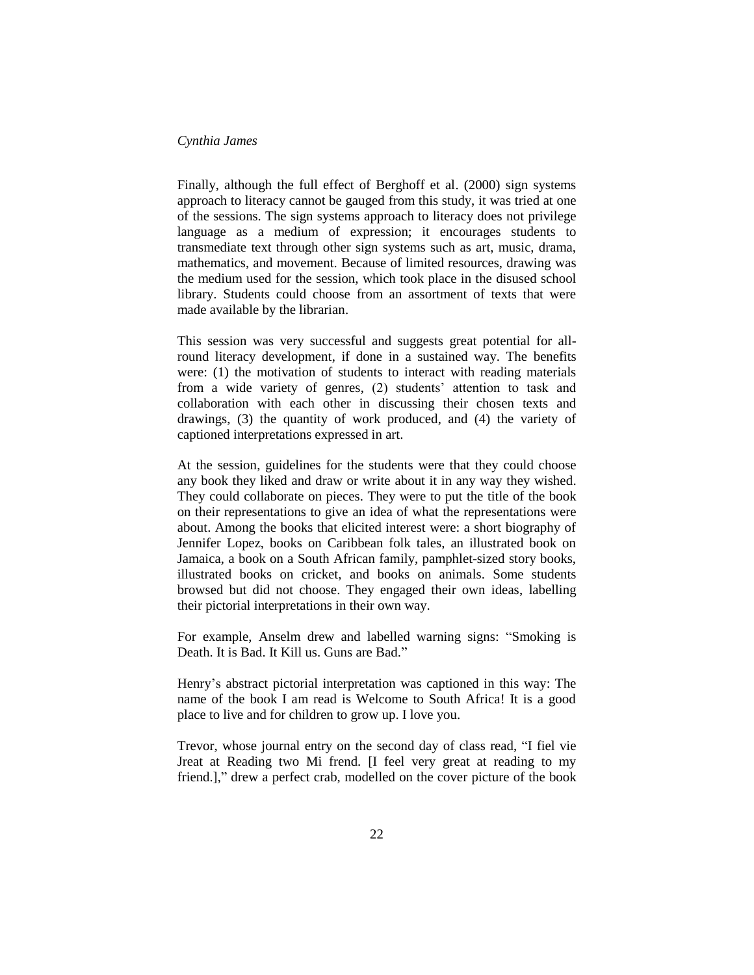Finally, although the full effect of Berghoff et al. (2000) sign systems approach to literacy cannot be gauged from this study, it was tried at one of the sessions. The sign systems approach to literacy does not privilege language as a medium of expression; it encourages students to transmediate text through other sign systems such as art, music, drama, mathematics, and movement. Because of limited resources, drawing was the medium used for the session, which took place in the disused school library. Students could choose from an assortment of texts that were made available by the librarian.

This session was very successful and suggests great potential for allround literacy development, if done in a sustained way. The benefits were: (1) the motivation of students to interact with reading materials from a wide variety of genres, (2) students' attention to task and collaboration with each other in discussing their chosen texts and drawings, (3) the quantity of work produced, and (4) the variety of captioned interpretations expressed in art.

At the session, guidelines for the students were that they could choose any book they liked and draw or write about it in any way they wished. They could collaborate on pieces. They were to put the title of the book on their representations to give an idea of what the representations were about. Among the books that elicited interest were: a short biography of Jennifer Lopez, books on Caribbean folk tales, an illustrated book on Jamaica, a book on a South African family, pamphlet-sized story books, illustrated books on cricket, and books on animals. Some students browsed but did not choose. They engaged their own ideas, labelling their pictorial interpretations in their own way.

For example, Anselm drew and labelled warning signs: "Smoking is Death. It is Bad. It Kill us. Guns are Bad."

Henry's abstract pictorial interpretation was captioned in this way: The name of the book I am read is Welcome to South Africa! It is a good place to live and for children to grow up. I love you.

Trevor, whose journal entry on the second day of class read, "I fiel vie Jreat at Reading two Mi frend. [I feel very great at reading to my friend.]," drew a perfect crab, modelled on the cover picture of the book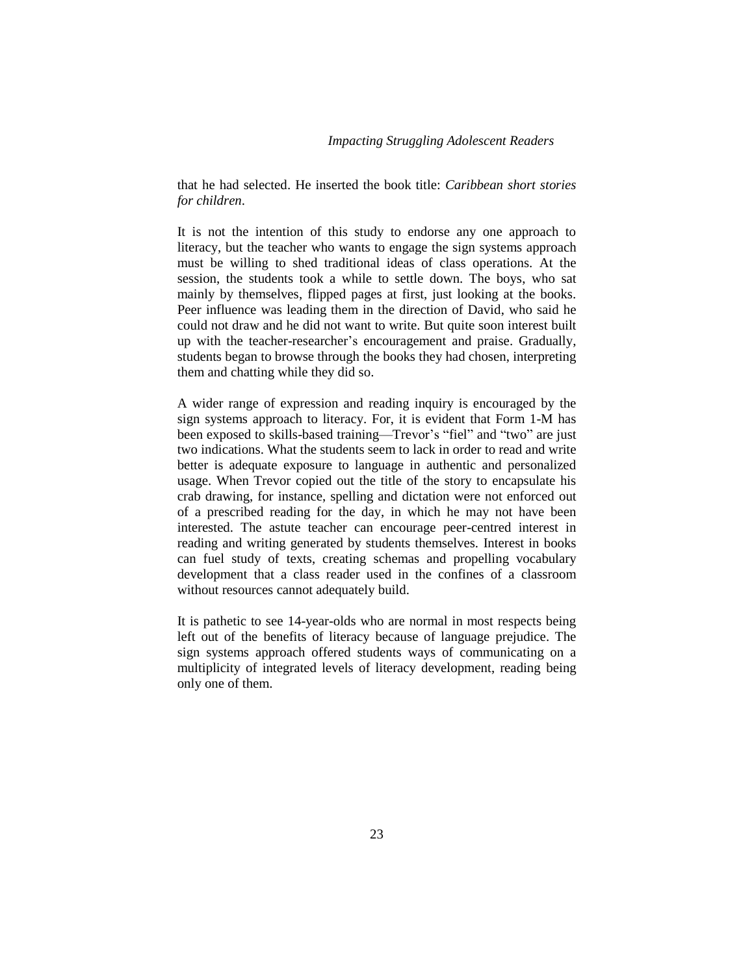that he had selected. He inserted the book title: *Caribbean short stories for children*.

It is not the intention of this study to endorse any one approach to literacy, but the teacher who wants to engage the sign systems approach must be willing to shed traditional ideas of class operations. At the session, the students took a while to settle down. The boys, who sat mainly by themselves, flipped pages at first, just looking at the books. Peer influence was leading them in the direction of David, who said he could not draw and he did not want to write. But quite soon interest built up with the teacher-researcher's encouragement and praise. Gradually, students began to browse through the books they had chosen, interpreting them and chatting while they did so.

A wider range of expression and reading inquiry is encouraged by the sign systems approach to literacy. For, it is evident that Form 1-M has been exposed to skills-based training—Trevor's "fiel" and "two" are just two indications. What the students seem to lack in order to read and write better is adequate exposure to language in authentic and personalized usage. When Trevor copied out the title of the story to encapsulate his crab drawing, for instance, spelling and dictation were not enforced out of a prescribed reading for the day, in which he may not have been interested. The astute teacher can encourage peer-centred interest in reading and writing generated by students themselves. Interest in books can fuel study of texts, creating schemas and propelling vocabulary development that a class reader used in the confines of a classroom without resources cannot adequately build.

It is pathetic to see 14-year-olds who are normal in most respects being left out of the benefits of literacy because of language prejudice. The sign systems approach offered students ways of communicating on a multiplicity of integrated levels of literacy development, reading being only one of them.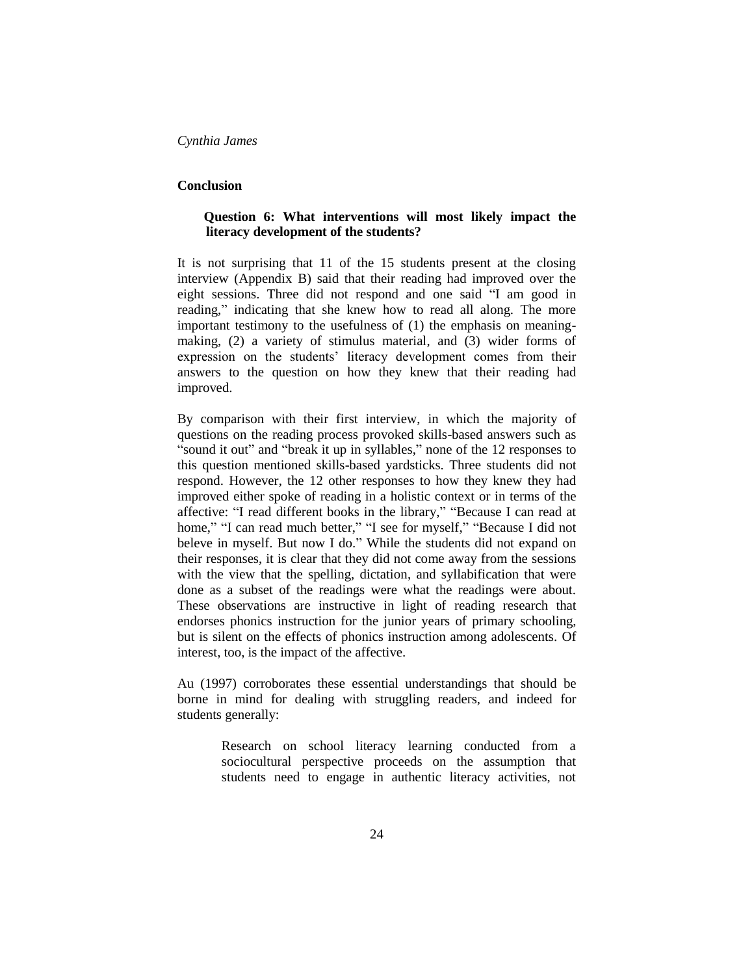### **Conclusion**

## **Question 6: What interventions will most likely impact the literacy development of the students?**

It is not surprising that 11 of the 15 students present at the closing interview (Appendix B) said that their reading had improved over the eight sessions. Three did not respond and one said "I am good in reading," indicating that she knew how to read all along. The more important testimony to the usefulness of (1) the emphasis on meaningmaking, (2) a variety of stimulus material, and (3) wider forms of expression on the students' literacy development comes from their answers to the question on how they knew that their reading had improved.

By comparison with their first interview, in which the majority of questions on the reading process provoked skills-based answers such as "sound it out" and "break it up in syllables," none of the 12 responses to this question mentioned skills-based yardsticks. Three students did not respond. However, the 12 other responses to how they knew they had improved either spoke of reading in a holistic context or in terms of the affective: "I read different books in the library," "Because I can read at home," "I can read much better," "I see for myself," "Because I did not beleve in myself. But now I do." While the students did not expand on their responses, it is clear that they did not come away from the sessions with the view that the spelling, dictation, and syllabification that were done as a subset of the readings were what the readings were about. These observations are instructive in light of reading research that endorses phonics instruction for the junior years of primary schooling, but is silent on the effects of phonics instruction among adolescents. Of interest, too, is the impact of the affective.

Au (1997) corroborates these essential understandings that should be borne in mind for dealing with struggling readers, and indeed for students generally:

> Research on school literacy learning conducted from a sociocultural perspective proceeds on the assumption that students need to engage in authentic literacy activities, not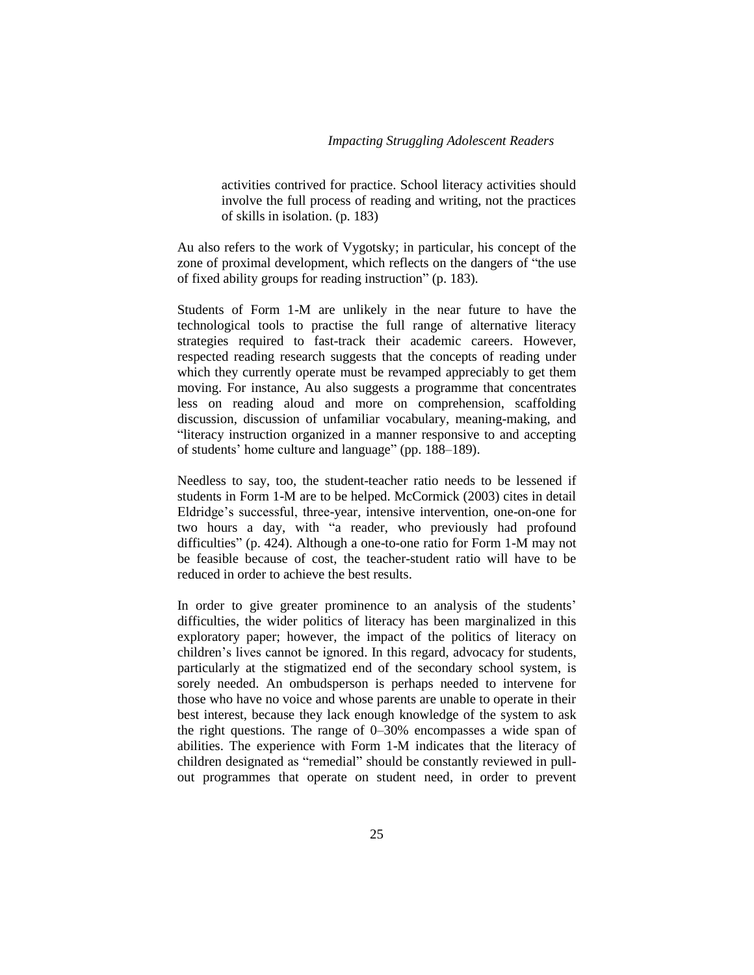activities contrived for practice. School literacy activities should involve the full process of reading and writing, not the practices of skills in isolation. (p. 183)

Au also refers to the work of Vygotsky; in particular, his concept of the zone of proximal development, which reflects on the dangers of "the use of fixed ability groups for reading instruction" (p. 183).

Students of Form 1-M are unlikely in the near future to have the technological tools to practise the full range of alternative literacy strategies required to fast-track their academic careers. However, respected reading research suggests that the concepts of reading under which they currently operate must be revamped appreciably to get them moving. For instance, Au also suggests a programme that concentrates less on reading aloud and more on comprehension, scaffolding discussion, discussion of unfamiliar vocabulary, meaning-making, and "literacy instruction organized in a manner responsive to and accepting of students' home culture and language" (pp. 188–189).

Needless to say, too, the student-teacher ratio needs to be lessened if students in Form 1-M are to be helped. McCormick (2003) cites in detail Eldridge's successful, three-year, intensive intervention, one-on-one for two hours a day, with "a reader, who previously had profound difficulties" (p. 424). Although a one-to-one ratio for Form 1-M may not be feasible because of cost, the teacher-student ratio will have to be reduced in order to achieve the best results.

In order to give greater prominence to an analysis of the students' difficulties, the wider politics of literacy has been marginalized in this exploratory paper; however, the impact of the politics of literacy on children's lives cannot be ignored. In this regard, advocacy for students, particularly at the stigmatized end of the secondary school system, is sorely needed. An ombudsperson is perhaps needed to intervene for those who have no voice and whose parents are unable to operate in their best interest, because they lack enough knowledge of the system to ask the right questions. The range of 0–30% encompasses a wide span of abilities. The experience with Form 1-M indicates that the literacy of children designated as "remedial" should be constantly reviewed in pullout programmes that operate on student need, in order to prevent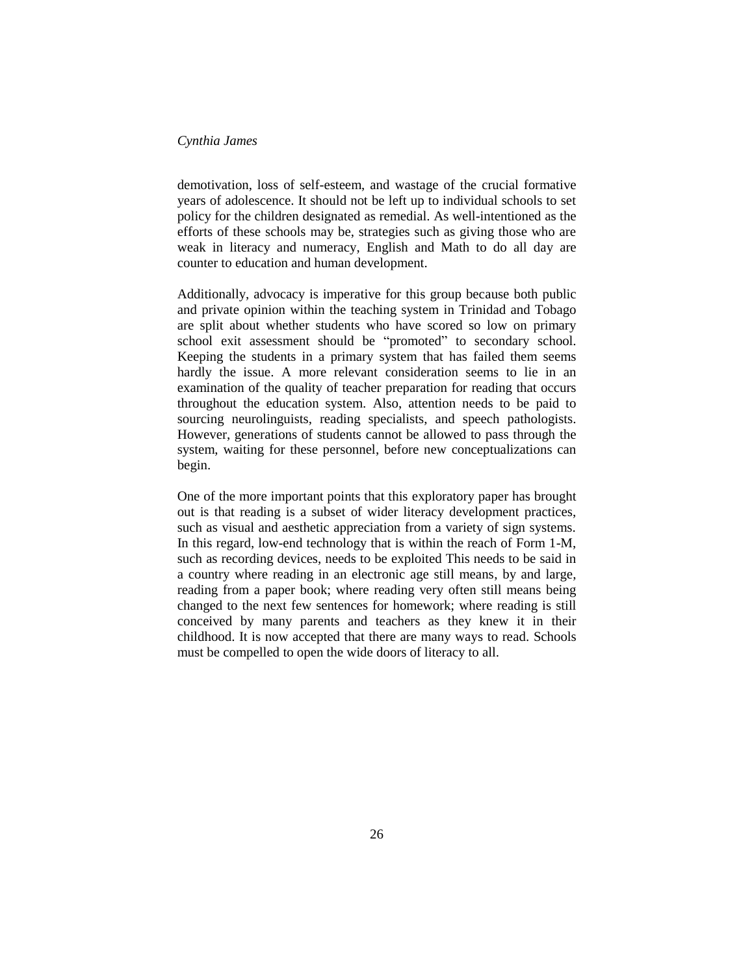demotivation, loss of self-esteem, and wastage of the crucial formative years of adolescence. It should not be left up to individual schools to set policy for the children designated as remedial. As well-intentioned as the efforts of these schools may be, strategies such as giving those who are weak in literacy and numeracy, English and Math to do all day are counter to education and human development.

Additionally, advocacy is imperative for this group because both public and private opinion within the teaching system in Trinidad and Tobago are split about whether students who have scored so low on primary school exit assessment should be "promoted" to secondary school. Keeping the students in a primary system that has failed them seems hardly the issue. A more relevant consideration seems to lie in an examination of the quality of teacher preparation for reading that occurs throughout the education system. Also, attention needs to be paid to sourcing neurolinguists, reading specialists, and speech pathologists. However, generations of students cannot be allowed to pass through the system, waiting for these personnel, before new conceptualizations can begin.

One of the more important points that this exploratory paper has brought out is that reading is a subset of wider literacy development practices, such as visual and aesthetic appreciation from a variety of sign systems. In this regard, low-end technology that is within the reach of Form 1-M, such as recording devices, needs to be exploited This needs to be said in a country where reading in an electronic age still means, by and large, reading from a paper book; where reading very often still means being changed to the next few sentences for homework; where reading is still conceived by many parents and teachers as they knew it in their childhood. It is now accepted that there are many ways to read. Schools must be compelled to open the wide doors of literacy to all.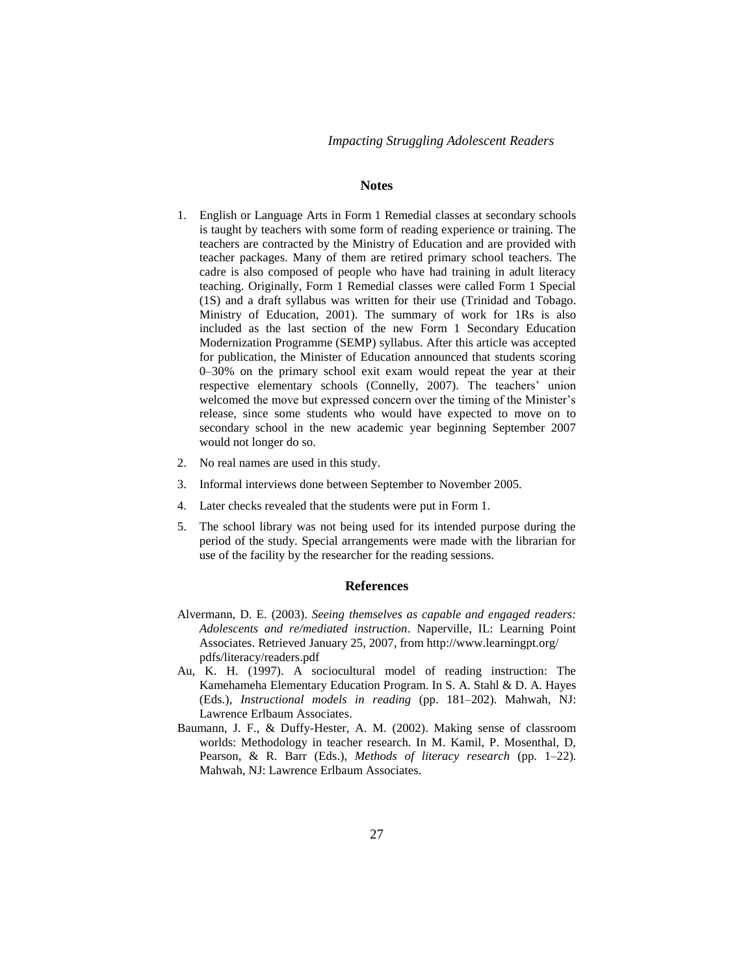### **Notes**

- 1. English or Language Arts in Form 1 Remedial classes at secondary schools is taught by teachers with some form of reading experience or training. The teachers are contracted by the Ministry of Education and are provided with teacher packages. Many of them are retired primary school teachers. The cadre is also composed of people who have had training in adult literacy teaching. Originally, Form 1 Remedial classes were called Form 1 Special (1S) and a draft syllabus was written for their use (Trinidad and Tobago. Ministry of Education, 2001). The summary of work for 1Rs is also included as the last section of the new Form 1 Secondary Education Modernization Programme (SEMP) syllabus. After this article was accepted for publication, the Minister of Education announced that students scoring 0–30% on the primary school exit exam would repeat the year at their respective elementary schools (Connelly, 2007). The teachers' union welcomed the move but expressed concern over the timing of the Minister's release, since some students who would have expected to move on to secondary school in the new academic year beginning September 2007 would not longer do so.
- 2. No real names are used in this study.
- 3. Informal interviews done between September to November 2005.
- 4. Later checks revealed that the students were put in Form 1.
- 5. The school library was not being used for its intended purpose during the period of the study. Special arrangements were made with the librarian for use of the facility by the researcher for the reading sessions.

#### **References**

- Alvermann, D. E. (2003). *Seeing themselves as capable and engaged readers: Adolescents and re/mediated instruction*. Naperville, IL: Learning Point Associates. Retrieved January 25, 2007, from http://www.learningpt.org/ pdfs/literacy/readers.pdf
- Au, K. H. (1997). A sociocultural model of reading instruction: The Kamehameha Elementary Education Program. In S. A. Stahl & D. A. Hayes (Eds.), *Instructional models in reading* (pp. 181–202). Mahwah, NJ: Lawrence Erlbaum Associates.
- Baumann, J. F., & Duffy-Hester, A. M. (2002). Making sense of classroom worlds: Methodology in teacher research. In M. Kamil, P. Mosenthal, D, Pearson, & R. Barr (Eds.), *Methods of literacy research* (pp. 1–22)*.*  Mahwah, NJ: Lawrence Erlbaum Associates.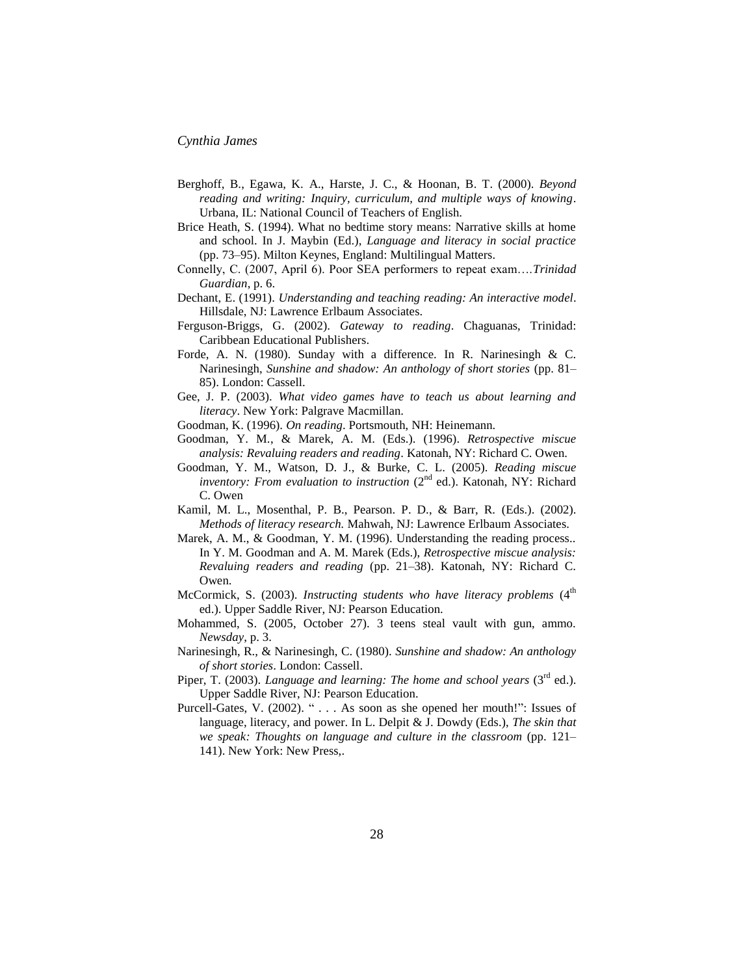- Berghoff, B., Egawa, K. A., Harste, J. C., & Hoonan, B. T. (2000). *Beyond reading and writing: Inquiry, curriculum, and multiple ways of knowing*. Urbana, IL: National Council of Teachers of English.
- Brice Heath, S. (1994). What no bedtime story means: Narrative skills at home and school. In J. Maybin (Ed.), *Language and literacy in social practice* (pp. 73–95). Milton Keynes, England: Multilingual Matters.
- Connelly, C. (2007, April 6). Poor SEA performers to repeat exam….*Trinidad Guardian*, p. 6.
- Dechant, E. (1991). *Understanding and teaching reading: An interactive model*. Hillsdale, NJ: Lawrence Erlbaum Associates.
- Ferguson-Briggs, G. (2002). *Gateway to reading*. Chaguanas, Trinidad: Caribbean Educational Publishers.
- Forde, A. N. (1980). Sunday with a difference. In R. Narinesingh & C. Narinesingh, *Sunshine and shadow: An anthology of short stories* (pp. 81– 85). London: Cassell.
- Gee, J. P. (2003). *What video games have to teach us about learning and literacy*. New York: Palgrave Macmillan.
- Goodman, K. (1996). *On reading*. Portsmouth, NH: Heinemann.
- Goodman, Y. M., & Marek, A. M. (Eds.). (1996). *Retrospective miscue analysis: Revaluing readers and reading*. Katonah, NY: Richard C. Owen.
- Goodman, Y. M., Watson, D. J., & Burke, C. L. (2005). *Reading miscue*  inventory: From evaluation to instruction (2<sup>nd</sup> ed.). Katonah, NY: Richard C. Owen
- Kamil, M. L., Mosenthal, P. B., Pearson. P. D., & Barr, R. (Eds.). (2002). *Methods of literacy research.* Mahwah, NJ: Lawrence Erlbaum Associates.
- Marek, A. M., & Goodman, Y. M. (1996). Understanding the reading process.. In Y. M. Goodman and A. M. Marek (Eds.), *Retrospective miscue analysis: Revaluing readers and reading* (pp. 21–38). Katonah, NY: Richard C. Owen.
- McCormick, S. (2003). *Instructing students who have literacy problems* (4<sup>th</sup> ed.). Upper Saddle River, NJ: Pearson Education.
- Mohammed, S. (2005, October 27). 3 teens steal vault with gun, ammo. *Newsday*, p. 3.
- Narinesingh, R., & Narinesingh, C. (1980). *Sunshine and shadow: An anthology of short stories*. London: Cassell.
- Piper, T. (2003). *Language and learning: The home and school years* (3<sup>rd</sup> ed.). Upper Saddle River, NJ: Pearson Education.
- Purcell-Gates, V. (2002). " . . . As soon as she opened her mouth!": Issues of language, literacy, and power. In L. Delpit & J. Dowdy (Eds.), *The skin that we speak: Thoughts on language and culture in the classroom* (pp. 121– 141). New York: New Press,.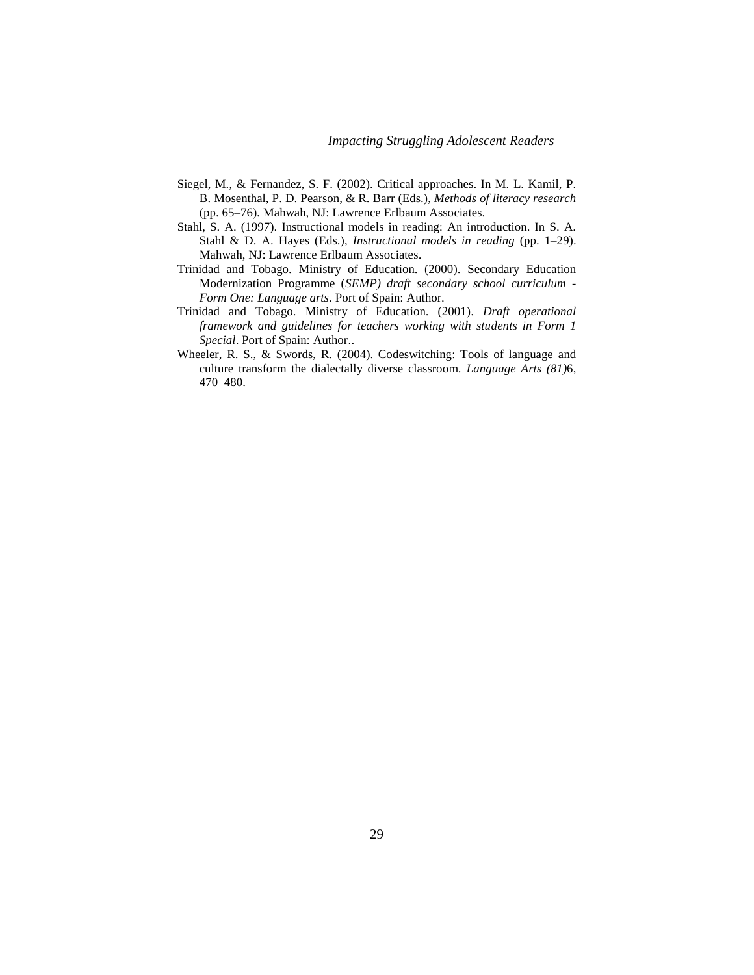- Siegel, M., & Fernandez, S. F. (2002). Critical approaches. In M. L. Kamil, P. B. Mosenthal, P. D. Pearson, & R. Barr (Eds.), *Methods of literacy research* (pp. 65–76)*.* Mahwah, NJ: Lawrence Erlbaum Associates.
- Stahl, S. A. (1997). Instructional models in reading: An introduction. In S. A. Stahl & D. A. Hayes (Eds.), *Instructional models in reading* (pp. 1–29). Mahwah, NJ: Lawrence Erlbaum Associates.
- Trinidad and Tobago. Ministry of Education. (2000). Secondary Education Modernization Programme (*SEMP) draft secondary school curriculum - Form One: Language arts*. Port of Spain: Author.
- Trinidad and Tobago. Ministry of Education. (2001). *Draft operational framework and guidelines for teachers working with students in Form 1 Special*. Port of Spain: Author..
- Wheeler, R. S., & Swords, R. (2004). Codeswitching: Tools of language and culture transform the dialectally diverse classroom. *Language Arts (81)*6, 470–480.